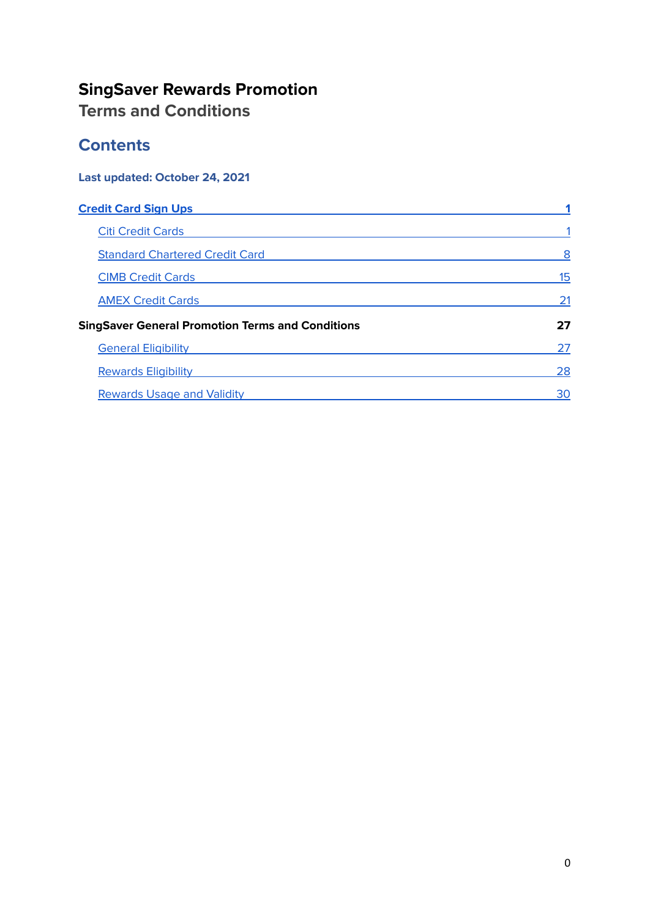### **SingSaver Rewards Promotion**

**Terms and Conditions**

#### **Contents**

#### **Last updated: October 24, 2021**

| <b>Credit Card Sign Ups</b>                             |    |
|---------------------------------------------------------|----|
| <b>Citi Credit Cards</b>                                |    |
| <b>Standard Chartered Credit Card</b>                   | 8  |
| <b>CIMB Credit Cards</b>                                | 15 |
| <b>AMEX Credit Cards</b>                                | 21 |
| <b>SingSaver General Promotion Terms and Conditions</b> | 27 |
| <b>General Eligibility</b>                              | 27 |
| <b>Rewards Eligibility</b>                              | 28 |
| <b>Rewards Usage and Validity</b>                       | 30 |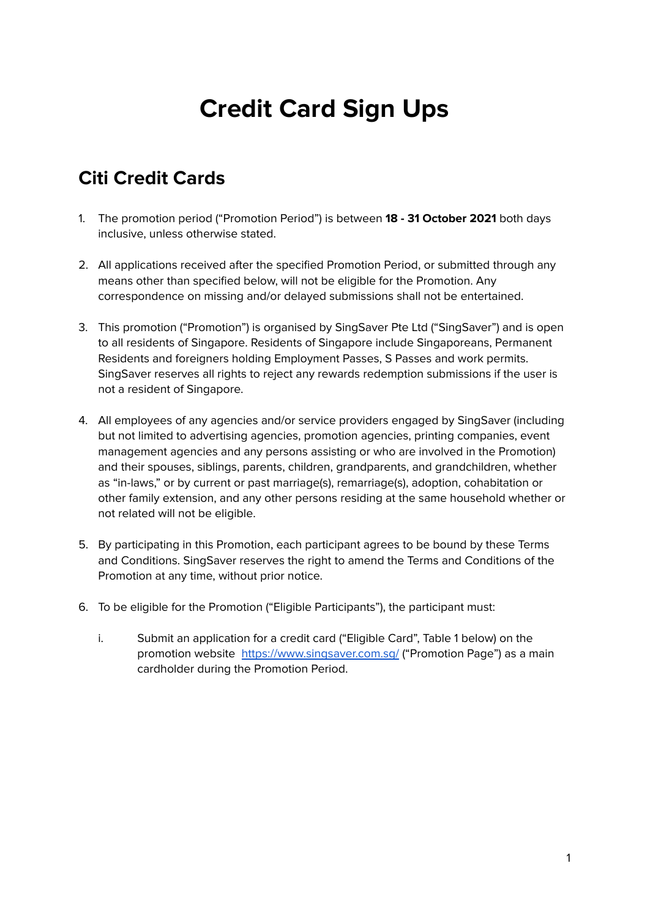# **Credit Card Sign Ups**

#### <span id="page-1-1"></span><span id="page-1-0"></span>**Citi Credit Cards**

- 1. The promotion period ("Promotion Period") is between **18 - 31 October 2021** both days inclusive, unless otherwise stated.
- 2. All applications received after the specified Promotion Period, or submitted through any means other than specified below, will not be eligible for the Promotion. Any correspondence on missing and/or delayed submissions shall not be entertained.
- 3. This promotion ("Promotion") is organised by SingSaver Pte Ltd ("SingSaver") and is open to all residents of Singapore. Residents of Singapore include Singaporeans, Permanent Residents and foreigners holding Employment Passes, S Passes and work permits. SingSaver reserves all rights to reject any rewards redemption submissions if the user is not a resident of Singapore.
- 4. All employees of any agencies and/or service providers engaged by SingSaver (including but not limited to advertising agencies, promotion agencies, printing companies, event management agencies and any persons assisting or who are involved in the Promotion) and their spouses, siblings, parents, children, grandparents, and grandchildren, whether as "in-laws," or by current or past marriage(s), remarriage(s), adoption, cohabitation or other family extension, and any other persons residing at the same household whether or not related will not be eligible.
- 5. By participating in this Promotion, each participant agrees to be bound by these Terms and Conditions. SingSaver reserves the right to amend the Terms and Conditions of the Promotion at any time, without prior notice.
- 6. To be eligible for the Promotion ("Eligible Participants"), the participant must:
	- i. Submit an application for a credit card ("Eligible Card", Table 1 below) on the promotion website <https://www.singsaver.com.sg/> ("Promotion Page") as a main cardholder during the Promotion Period.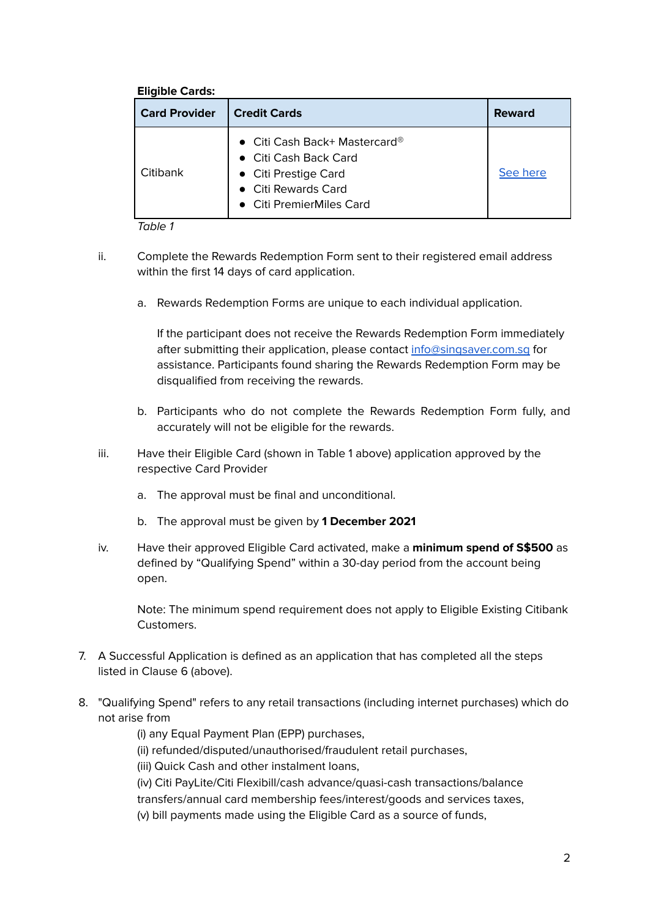| <b>Eligible Cards:</b> |                                                                                                                                   |               |
|------------------------|-----------------------------------------------------------------------------------------------------------------------------------|---------------|
| <b>Card Provider</b>   | <b>Credit Cards</b>                                                                                                               | <b>Reward</b> |
| Citibank               | • Citi Cash Back+ Mastercard®<br>• Citi Cash Back Card<br>• Citi Prestige Card<br>• Citi Rewards Card<br>• Citi PremierMiles Card | See here      |

Table 1

- ii. Complete the Rewards Redemption Form sent to their registered email address within the first 14 days of card application.
	- a. Rewards Redemption Forms are unique to each individual application.

If the participant does not receive the Rewards Redemption Form immediately after submitting their application, please contact [info@singsaver.com.sg](mailto:info@singsaver.com.sg) for assistance. Participants found sharing the Rewards Redemption Form may be disqualified from receiving the rewards.

- b. Participants who do not complete the Rewards Redemption Form fully, and accurately will not be eligible for the rewards.
- iii. Have their Eligible Card (shown in Table 1 above) application approved by the respective Card Provider
	- a. The approval must be final and unconditional.
	- b. The approval must be given by **1 December 2021**
- iv. Have their approved Eligible Card activated, make a **minimum spend of S\$500** as defined by "Qualifying Spend" within a 30-day period from the account being open.

Note: The minimum spend requirement does not apply to Eligible Existing Citibank Customers.

- 7. A Successful Application is defined as an application that has completed all the steps listed in Clause 6 (above).
- 8. "Qualifying Spend" refers to any retail transactions (including internet purchases) which do not arise from
	- (i) any Equal Payment Plan (EPP) purchases,
	- (ii) refunded/disputed/unauthorised/fraudulent retail purchases,
	- (iii) Quick Cash and other instalment loans,
	- (iv) Citi PayLite/Citi Flexibill/cash advance/quasi-cash transactions/balance
	- transfers/annual card membership fees/interest/goods and services taxes,
	- (v) bill payments made using the Eligible Card as a source of funds,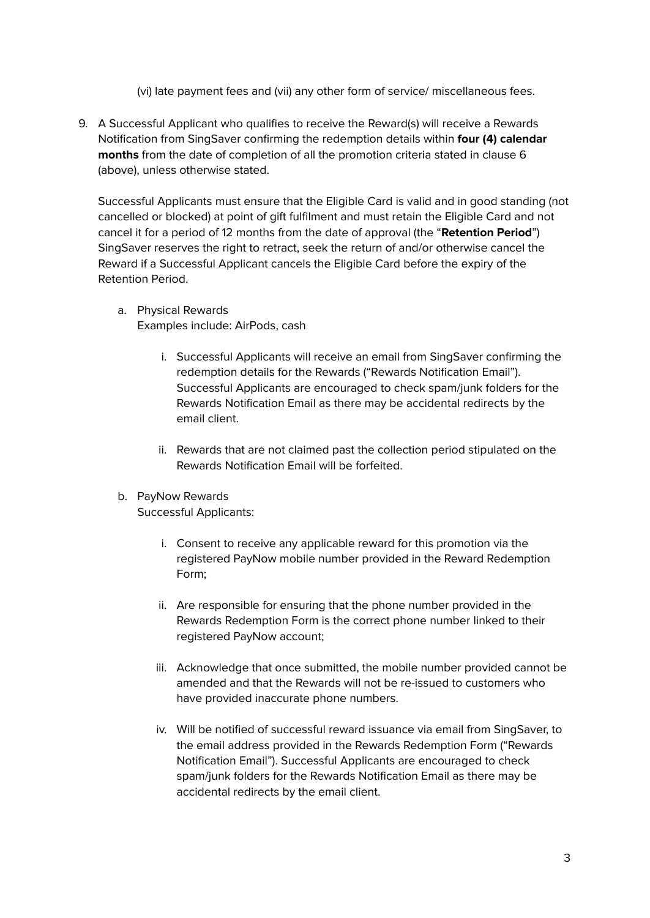(vi) late payment fees and (vii) any other form of service/ miscellaneous fees.

9. A Successful Applicant who qualifies to receive the Reward(s) will receive a Rewards Notification from SingSaver confirming the redemption details within **four (4) calendar months** from the date of completion of all the promotion criteria stated in clause 6 (above), unless otherwise stated.

Successful Applicants must ensure that the Eligible Card is valid and in good standing (not cancelled or blocked) at point of gift fulfilment and must retain the Eligible Card and not cancel it for a period of 12 months from the date of approval (the "**Retention Period**") SingSaver reserves the right to retract, seek the return of and/or otherwise cancel the Reward if a Successful Applicant cancels the Eligible Card before the expiry of the Retention Period.

- a. Physical Rewards Examples include: AirPods, cash
	- i. Successful Applicants will receive an email from SingSaver confirming the redemption details for the Rewards ("Rewards Notification Email"). Successful Applicants are encouraged to check spam/junk folders for the Rewards Notification Email as there may be accidental redirects by the email client.
	- ii. Rewards that are not claimed past the collection period stipulated on the Rewards Notification Email will be forfeited.
- b. PayNow Rewards Successful Applicants:
	- i. Consent to receive any applicable reward for this promotion via the registered PayNow mobile number provided in the Reward Redemption Form;
	- ii. Are responsible for ensuring that the phone number provided in the Rewards Redemption Form is the correct phone number linked to their registered PayNow account;
	- iii. Acknowledge that once submitted, the mobile number provided cannot be amended and that the Rewards will not be re-issued to customers who have provided inaccurate phone numbers.
	- iv. Will be notified of successful reward issuance via email from SingSaver, to the email address provided in the Rewards Redemption Form ("Rewards Notification Email"). Successful Applicants are encouraged to check spam/junk folders for the Rewards Notification Email as there may be accidental redirects by the email client.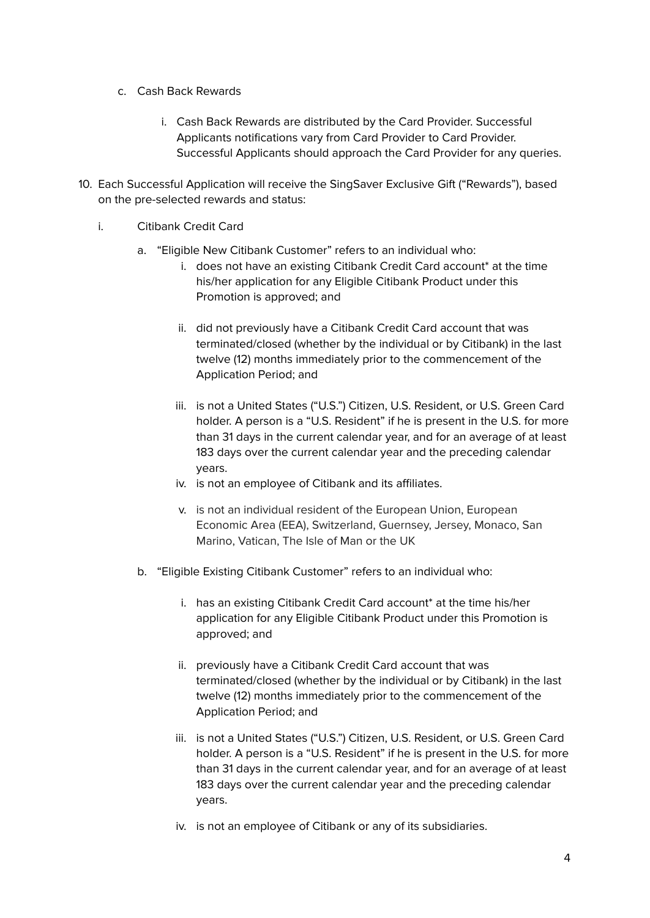- c. Cash Back Rewards
	- i. Cash Back Rewards are distributed by the Card Provider. Successful Applicants notifications vary from Card Provider to Card Provider. Successful Applicants should approach the Card Provider for any queries.
- 10. Each Successful Application will receive the SingSaver Exclusive Gift ("Rewards"), based on the pre-selected rewards and status:
	- i. Citibank Credit Card
		- a. "Eligible New Citibank Customer" refers to an individual who:
			- i. does not have an existing Citibank Credit Card account\* at the time his/her application for any Eligible Citibank Product under this Promotion is approved; and
			- ii. did not previously have a Citibank Credit Card account that was terminated/closed (whether by the individual or by Citibank) in the last twelve (12) months immediately prior to the commencement of the Application Period; and
			- iii. is not a United States ("U.S.") Citizen, U.S. Resident, or U.S. Green Card holder. A person is a "U.S. Resident" if he is present in the U.S. for more than 31 days in the current calendar year, and for an average of at least 183 days over the current calendar year and the preceding calendar years.
			- iv. is not an employee of Citibank and its affiliates.
			- v. is not an individual resident of the European Union, European Economic Area (EEA), Switzerland, Guernsey, Jersey, Monaco, San Marino, Vatican, The Isle of Man or the UK
		- b. "Eligible Existing Citibank Customer" refers to an individual who:
			- i. has an existing Citibank Credit Card account\* at the time his/her application for any Eligible Citibank Product under this Promotion is approved; and
			- ii. previously have a Citibank Credit Card account that was terminated/closed (whether by the individual or by Citibank) in the last twelve (12) months immediately prior to the commencement of the Application Period; and
			- iii. is not a United States ("U.S.") Citizen, U.S. Resident, or U.S. Green Card holder. A person is a "U.S. Resident" if he is present in the U.S. for more than 31 days in the current calendar year, and for an average of at least 183 days over the current calendar year and the preceding calendar years.
			- iv. is not an employee of Citibank or any of its subsidiaries.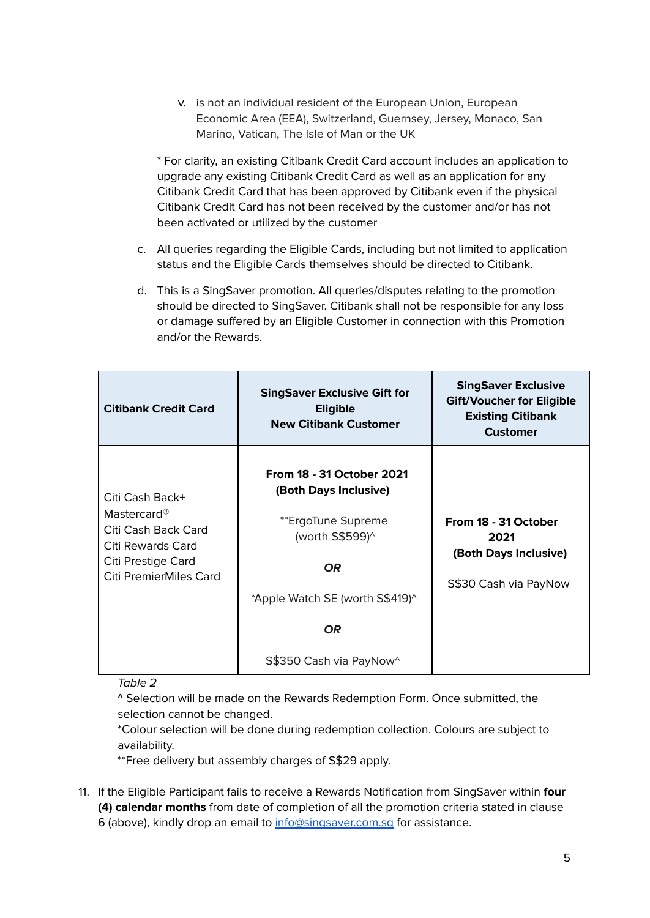v. is not an individual resident of the European Union, European Economic Area (EEA), Switzerland, Guernsey, Jersey, Monaco, San Marino, Vatican, The Isle of Man or the UK

\* For clarity, an existing Citibank Credit Card account includes an application to upgrade any existing Citibank Credit Card as well as an application for any Citibank Credit Card that has been approved by Citibank even if the physical Citibank Credit Card has not been received by the customer and/or has not been activated or utilized by the customer

- c. All queries regarding the Eligible Cards, including but not limited to application status and the Eligible Cards themselves should be directed to Citibank.
- d. This is a SingSaver promotion. All queries/disputes relating to the promotion should be directed to SingSaver. Citibank shall not be responsible for any loss or damage suffered by an Eligible Customer in connection with this Promotion and/or the Rewards.

<span id="page-5-0"></span>

| <b>Citibank Credit Card</b>                                                                                         | <b>SingSaver Exclusive Gift for</b><br><b>Eligible</b><br><b>New Citibank Customer</b> | <b>SingSaver Exclusive</b><br><b>Gift/Voucher for Eligible</b><br><b>Existing Citibank</b><br><b>Customer</b> |
|---------------------------------------------------------------------------------------------------------------------|----------------------------------------------------------------------------------------|---------------------------------------------------------------------------------------------------------------|
| Citi Cash Back+                                                                                                     | <b>From 18 - 31 October 2021</b><br>(Both Days Inclusive)                              |                                                                                                               |
| Mastercard <sup>®</sup><br>Citi Cash Back Card<br>Citi Rewards Card<br>Citi Prestige Card<br>Citi PremierMiles Card | **ErgoTune Supreme<br>(worth S\$599)^                                                  | From 18 - 31 October<br>2021<br>(Both Days Inclusive)<br>S\$30 Cash via PayNow                                |
|                                                                                                                     | <b>OR</b><br>*Apple Watch SE (worth S\$419)^                                           |                                                                                                               |
|                                                                                                                     | <b>OR</b>                                                                              |                                                                                                               |
|                                                                                                                     | S\$350 Cash via PayNow^                                                                |                                                                                                               |

Table 2

**^** Selection will be made on the Rewards Redemption Form. Once submitted, the selection cannot be changed.

\*Colour selection will be done during redemption collection. Colours are subject to availability.

\*\*Free delivery but assembly charges of S\$29 apply.

11. If the Eligible Participant fails to receive a Rewards Notification from SingSaver within **four (4) calendar months** from date of completion of all the promotion criteria stated in clause 6 (above), kindly drop an email to [info@singsaver.com.sg](mailto:info@singsaver.com.sg) for assistance.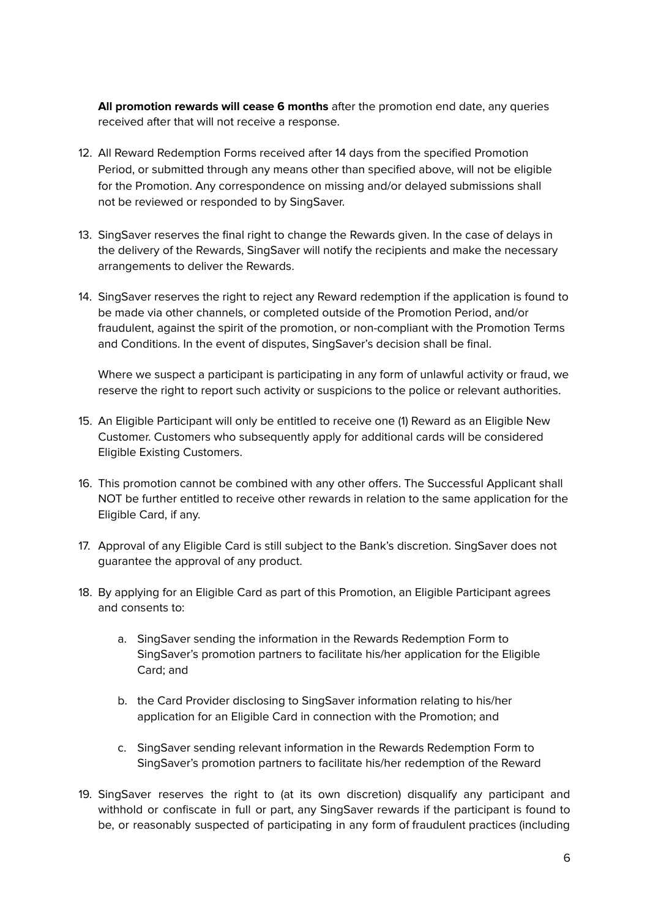**All promotion rewards will cease 6 months** after the promotion end date, any queries received after that will not receive a response.

- 12. All Reward Redemption Forms received after 14 days from the specified Promotion Period, or submitted through any means other than specified above, will not be eligible for the Promotion. Any correspondence on missing and/or delayed submissions shall not be reviewed or responded to by SingSaver.
- 13. SingSaver reserves the final right to change the Rewards given. In the case of delays in the delivery of the Rewards, SingSaver will notify the recipients and make the necessary arrangements to deliver the Rewards.
- 14. SingSaver reserves the right to reject any Reward redemption if the application is found to be made via other channels, or completed outside of the Promotion Period, and/or fraudulent, against the spirit of the promotion, or non-compliant with the Promotion Terms and Conditions. In the event of disputes, SingSaver's decision shall be final.

Where we suspect a participant is participating in any form of unlawful activity or fraud, we reserve the right to report such activity or suspicions to the police or relevant authorities.

- 15. An Eligible Participant will only be entitled to receive one (1) Reward as an Eligible New Customer. Customers who subsequently apply for additional cards will be considered Eligible Existing Customers.
- 16. This promotion cannot be combined with any other offers. The Successful Applicant shall NOT be further entitled to receive other rewards in relation to the same application for the Eligible Card, if any.
- 17. Approval of any Eligible Card is still subject to the Bank's discretion. SingSaver does not guarantee the approval of any product.
- 18. By applying for an Eligible Card as part of this Promotion, an Eligible Participant agrees and consents to:
	- a. SingSaver sending the information in the Rewards Redemption Form to SingSaver's promotion partners to facilitate his/her application for the Eligible Card; and
	- b. the Card Provider disclosing to SingSaver information relating to his/her application for an Eligible Card in connection with the Promotion; and
	- c. SingSaver sending relevant information in the Rewards Redemption Form to SingSaver's promotion partners to facilitate his/her redemption of the Reward
- 19. SingSaver reserves the right to (at its own discretion) disqualify any participant and withhold or confiscate in full or part, any SingSaver rewards if the participant is found to be, or reasonably suspected of participating in any form of fraudulent practices (including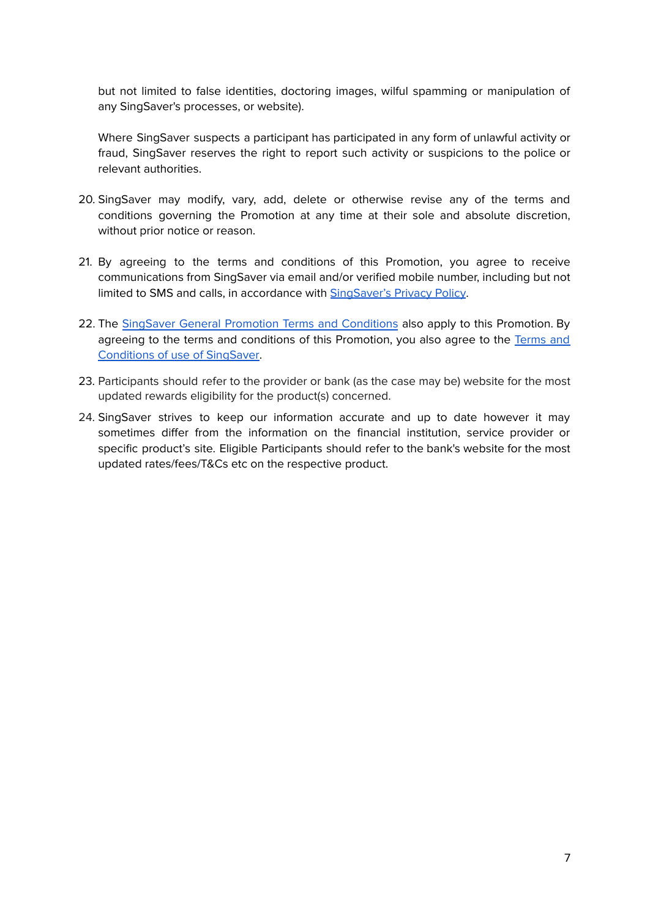but not limited to false identities, doctoring images, wilful spamming or manipulation of any SingSaver's processes, or website).

Where SingSaver suspects a participant has participated in any form of unlawful activity or fraud, SingSaver reserves the right to report such activity or suspicions to the police or relevant authorities.

- 20. SingSaver may modify, vary, add, delete or otherwise revise any of the terms and conditions governing the Promotion at any time at their sole and absolute discretion, without prior notice or reason.
- 21. By agreeing to the terms and conditions of this Promotion, you agree to receive communications from SingSaver via email and/or verified mobile number, including but not limited to SMS and calls, in accordance with [SingSaver's](https://www.singsaver.com.sg/privacy-policy) Privacy Policy.
- 22. The SingSaver General Promotion Terms and [Conditions](https://docs.google.com/document/d/11w6Fqh5zk5puCfI4R1Icvq4fWKDflLqS3DJAFmnofjk/edit#heading=h.h5j01ssvgvg) also apply to this Promotion. By agreeing to the terms and conditions of this Promotion, you also agree to the [Terms](https://www.singsaver.com.sg/terms) and [Conditions](https://www.singsaver.com.sg/terms) of use of SingSaver.
- 23. Participants should refer to the provider or bank (as the case may be) website for the most updated rewards eligibility for the product(s) concerned.
- 24. SingSaver strives to keep our information accurate and up to date however it may sometimes differ from the information on the financial institution, service provider or specific product's site. Eligible Participants should refer to the bank's website for the most updated rates/fees/T&Cs etc on the respective product.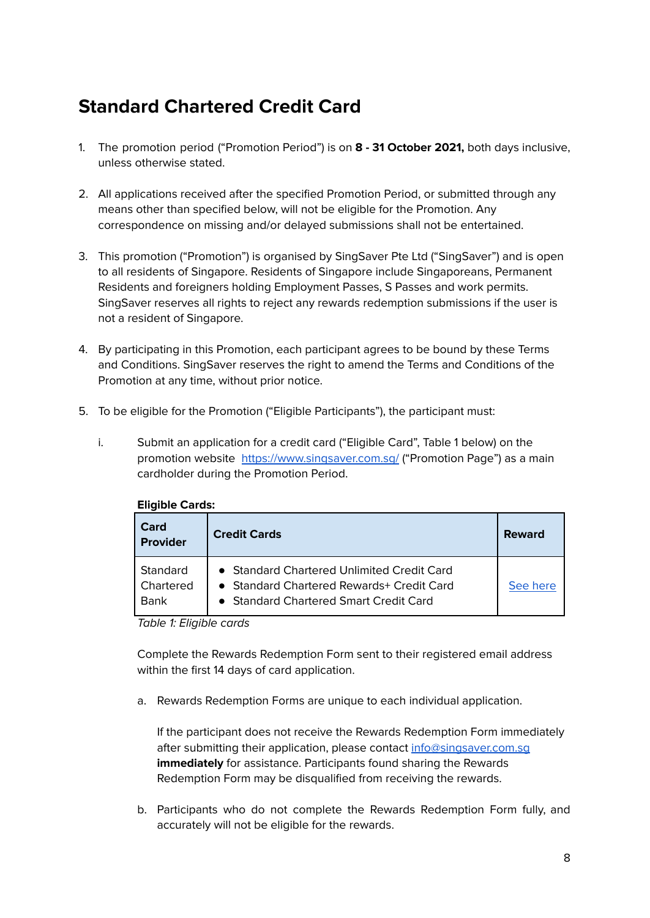### <span id="page-8-0"></span>**Standard Chartered Credit Card**

- 1. The promotion period ("Promotion Period") is on **8 - 31 October 2021,** both days inclusive, unless otherwise stated.
- 2. All applications received after the specified Promotion Period, or submitted through any means other than specified below, will not be eligible for the Promotion. Any correspondence on missing and/or delayed submissions shall not be entertained.
- 3. This promotion ("Promotion") is organised by SingSaver Pte Ltd ("SingSaver") and is open to all residents of Singapore. Residents of Singapore include Singaporeans, Permanent Residents and foreigners holding Employment Passes, S Passes and work permits. SingSaver reserves all rights to reject any rewards redemption submissions if the user is not a resident of Singapore.
- 4. By participating in this Promotion, each participant agrees to be bound by these Terms and Conditions. SingSaver reserves the right to amend the Terms and Conditions of the Promotion at any time, without prior notice.
- 5. To be eligible for the Promotion ("Eligible Participants"), the participant must:
	- i. Submit an application for a credit card ("Eligible Card", Table 1 below) on the promotion website <https://www.singsaver.com.sg/> ("Promotion Page") as a main cardholder during the Promotion Period.

| Card<br><b>Provider</b>              | <b>Credit Cards</b>                                                                                                               | <b>Reward</b> |
|--------------------------------------|-----------------------------------------------------------------------------------------------------------------------------------|---------------|
| Standard<br>Chartered<br><b>Bank</b> | • Standard Chartered Unlimited Credit Card<br>• Standard Chartered Rewards+ Credit Card<br>• Standard Chartered Smart Credit Card | See here      |

#### **Eligible Cards:**

Table 1: Eligible cards

Complete the Rewards Redemption Form sent to their registered email address within the first 14 days of card application.

a. Rewards Redemption Forms are unique to each individual application.

If the participant does not receive the Rewards Redemption Form immediately after submitting their application, please contact [info@singsaver.com.sg](mailto:info@singsaver.com.sg) **immediately** for assistance. Participants found sharing the Rewards Redemption Form may be disqualified from receiving the rewards.

b. Participants who do not complete the Rewards Redemption Form fully, and accurately will not be eligible for the rewards.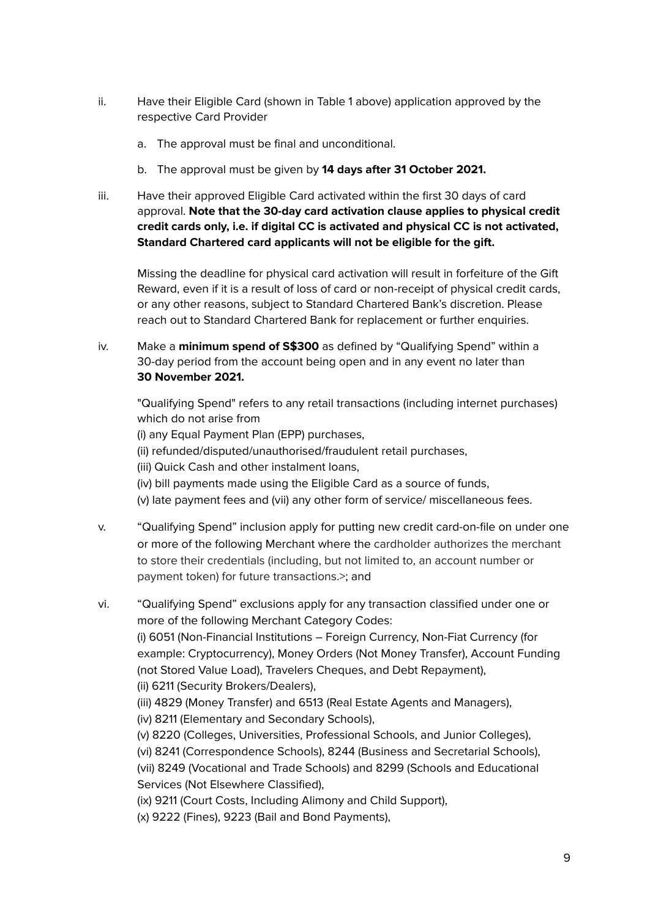- ii. Have their Eligible Card (shown in Table 1 above) application approved by the respective Card Provider
	- a. The approval must be final and unconditional.
	- b. The approval must be given by **14 days after 31 October 2021.**
- iii. Have their approved Eligible Card activated within the first 30 days of card approval. **Note that the 30-day card activation clause applies to physical credit credit cards only, i.e. if digital CC is activated and physical CC is not activated, Standard Chartered card applicants will not be eligible for the gift.**

Missing the deadline for physical card activation will result in forfeiture of the Gift Reward, even if it is a result of loss of card or non-receipt of physical credit cards, or any other reasons, subject to Standard Chartered Bank's discretion. Please reach out to Standard Chartered Bank for replacement or further enquiries.

iv. Make a **minimum spend of S\$300** as defined by "Qualifying Spend" within a 30-day period from the account being open and in any event no later than **30 November 2021.**

"Qualifying Spend" refers to any retail transactions (including internet purchases) which do not arise from

(i) any Equal Payment Plan (EPP) purchases,

(ii) refunded/disputed/unauthorised/fraudulent retail purchases,

(iii) Quick Cash and other instalment loans,

(iv) bill payments made using the Eligible Card as a source of funds,

(v) late payment fees and (vii) any other form of service/ miscellaneous fees.

- v. "Qualifying Spend" inclusion apply for putting new credit card-on-file on under one or more of the following Merchant where the cardholder authorizes the merchant to store their credentials (including, but not limited to, an account number or payment token) for future transactions.>; and
- vi. "Qualifying Spend" exclusions apply for any transaction classified under one or more of the following Merchant Category Codes: (i) 6051 (Non-Financial Institutions – Foreign Currency, Non-Fiat Currency (for example: Cryptocurrency), Money Orders (Not Money Transfer), Account Funding (not Stored Value Load), Travelers Cheques, and Debt Repayment), (ii) 6211 (Security Brokers/Dealers), (iii) 4829 (Money Transfer) and 6513 (Real Estate Agents and Managers), (iv) 8211 (Elementary and Secondary Schools), (v) 8220 (Colleges, Universities, Professional Schools, and Junior Colleges), (vi) 8241 (Correspondence Schools), 8244 (Business and Secretarial Schools), (vii) 8249 (Vocational and Trade Schools) and 8299 (Schools and Educational Services (Not Elsewhere Classified), (ix) 9211 (Court Costs, Including Alimony and Child Support), (x) 9222 (Fines), 9223 (Bail and Bond Payments),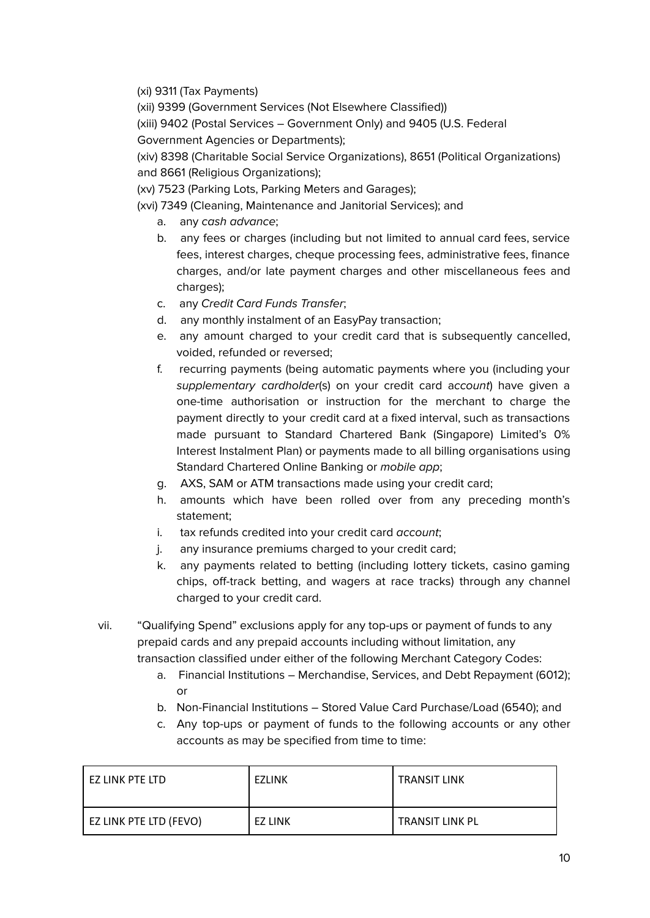(xi) 9311 (Tax Payments)

(xii) 9399 (Government Services (Not Elsewhere Classified))

(xiii) 9402 (Postal Services – Government Only) and 9405 (U.S. Federal

Government Agencies or Departments);

(xiv) 8398 (Charitable Social Service Organizations), 8651 (Political Organizations) and 8661 (Religious Organizations);

(xv) 7523 (Parking Lots, Parking Meters and Garages);

(xvi) 7349 (Cleaning, Maintenance and Janitorial Services); and

- a. any cash advance;
- b. any fees or charges (including but not limited to annual card fees, service fees, interest charges, cheque processing fees, administrative fees, finance charges, and/or late payment charges and other miscellaneous fees and charges);
- c. any Credit Card Funds Transfer;
- d. any monthly instalment of an EasyPay transaction;
- e. any amount charged to your credit card that is subsequently cancelled, voided, refunded or reversed;
- f. recurring payments (being automatic payments where you (including your supplementary cardholder(s) on your credit card account) have given a one-time authorisation or instruction for the merchant to charge the payment directly to your credit card at a fixed interval, such as transactions made pursuant to Standard Chartered Bank (Singapore) Limited's 0% Interest Instalment Plan) or payments made to all billing organisations using Standard Chartered Online Banking or *mobile app*:
- g. AXS, SAM or ATM transactions made using your credit card;
- h. amounts which have been rolled over from any preceding month's statement;
- i. tax refunds credited into your credit card *account*:
- j. any insurance premiums charged to your credit card;
- k. any payments related to betting (including lottery tickets, casino gaming chips, off-track betting, and wagers at race tracks) through any channel charged to your credit card.

vii. "Qualifying Spend" exclusions apply for any top-ups or payment of funds to any prepaid cards and any prepaid accounts including without limitation, any transaction classified under either of the following Merchant Category Codes:

- a. Financial Institutions Merchandise, Services, and Debt Repayment (6012); or
- b. Non-Financial Institutions Stored Value Card Purchase/Load (6540); and
- c. Any top-ups or payment of funds to the following accounts or any other accounts as may be specified from time to time:

| l ez link pte ltd      | EZLINK         | <b>TRANSIT LINK</b>    |
|------------------------|----------------|------------------------|
| EZ LINK PTE LTD (FEVO) | <b>EZ LINK</b> | <b>TRANSIT LINK PL</b> |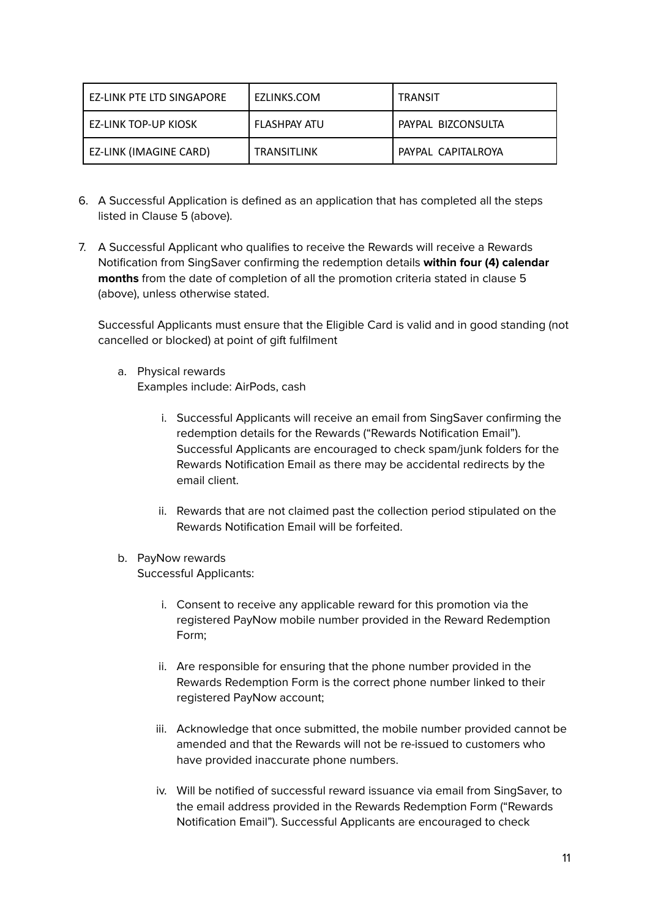| EZ-LINK PTE LTD SINGAPORE | EZLINKS.COM         | TRANSIT            |
|---------------------------|---------------------|--------------------|
| EZ-LINK TOP-UP KIOSK      | <b>FLASHPAY ATU</b> | PAYPAL BIZCONSULTA |
| EZ-LINK (IMAGINE CARD)    | <b>TRANSITLINK</b>  | PAYPAL CAPITALROYA |

- 6. A Successful Application is defined as an application that has completed all the steps listed in Clause 5 (above).
- 7. A Successful Applicant who qualifies to receive the Rewards will receive a Rewards Notification from SingSaver confirming the redemption details **within four (4) calendar months** from the date of completion of all the promotion criteria stated in clause 5 (above), unless otherwise stated.

Successful Applicants must ensure that the Eligible Card is valid and in good standing (not cancelled or blocked) at point of gift fulfilment

- a. Physical rewards Examples include: AirPods, cash
	- i. Successful Applicants will receive an email from SingSaver confirming the redemption details for the Rewards ("Rewards Notification Email"). Successful Applicants are encouraged to check spam/junk folders for the Rewards Notification Email as there may be accidental redirects by the email client.
	- ii. Rewards that are not claimed past the collection period stipulated on the Rewards Notification Email will be forfeited.
- b. PayNow rewards Successful Applicants:
	- i. Consent to receive any applicable reward for this promotion via the registered PayNow mobile number provided in the Reward Redemption Form;
	- ii. Are responsible for ensuring that the phone number provided in the Rewards Redemption Form is the correct phone number linked to their registered PayNow account;
	- iii. Acknowledge that once submitted, the mobile number provided cannot be amended and that the Rewards will not be re-issued to customers who have provided inaccurate phone numbers.
	- iv. Will be notified of successful reward issuance via email from SingSaver, to the email address provided in the Rewards Redemption Form ("Rewards Notification Email"). Successful Applicants are encouraged to check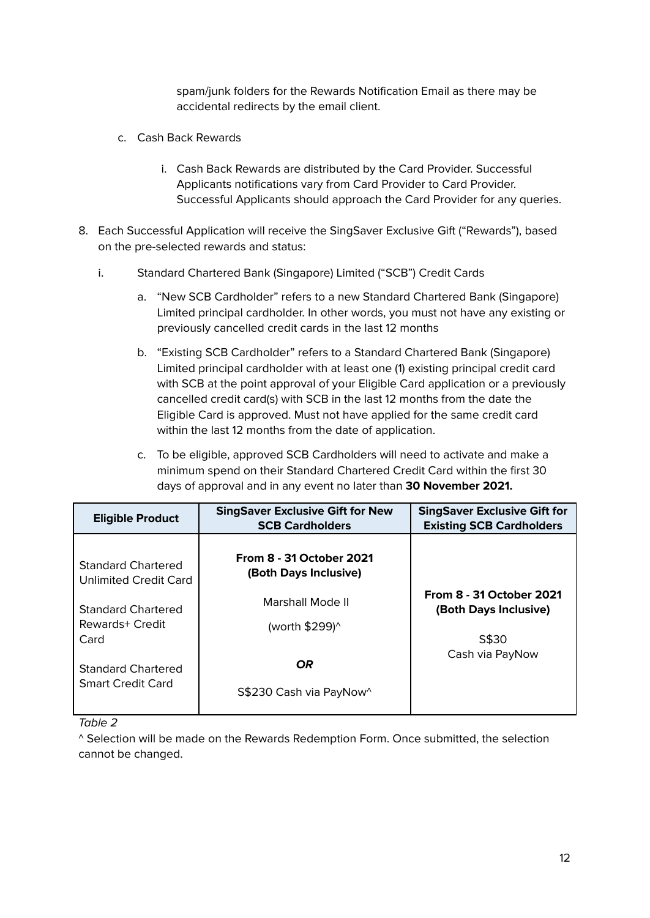spam/junk folders for the Rewards Notification Email as there may be accidental redirects by the email client.

- c. Cash Back Rewards
	- i. Cash Back Rewards are distributed by the Card Provider. Successful Applicants notifications vary from Card Provider to Card Provider. Successful Applicants should approach the Card Provider for any queries.
- 8. Each Successful Application will receive the SingSaver Exclusive Gift ("Rewards"), based on the pre-selected rewards and status:
	- i. Standard Chartered Bank (Singapore) Limited ("SCB") Credit Cards
		- a. "New SCB Cardholder" refers to a new Standard Chartered Bank (Singapore) Limited principal cardholder. In other words, you must not have any existing or previously cancelled credit cards in the last 12 months
		- b. "Existing SCB Cardholder" refers to a Standard Chartered Bank (Singapore) Limited principal cardholder with at least one (1) existing principal credit card with SCB at the point approval of your Eligible Card application or a previously cancelled credit card(s) with SCB in the last 12 months from the date the Eligible Card is approved. Must not have applied for the same credit card within the last 12 months from the date of application.
		- c. To be eligible, approved SCB Cardholders will need to activate and make a minimum spend on their Standard Chartered Credit Card within the first 30 days of approval and in any event no later than **30 November 2021.**

<span id="page-12-0"></span>

| <b>Eligible Product</b>                                   | <b>SingSaver Exclusive Gift for New</b><br><b>SCB Cardholders</b> | <b>SingSaver Exclusive Gift for</b><br><b>Existing SCB Cardholders</b> |
|-----------------------------------------------------------|-------------------------------------------------------------------|------------------------------------------------------------------------|
| <b>Standard Chartered</b><br><b>Unlimited Credit Card</b> | <b>From 8 - 31 October 2021</b><br>(Both Days Inclusive)          | <b>From 8 - 31 October 2021</b>                                        |
| Standard Chartered<br>Rewards+ Credit                     | Marshall Mode II<br>(worth \$299)^                                | (Both Days Inclusive)                                                  |
| Card                                                      |                                                                   | S\$30<br>Cash via PayNow                                               |
| <b>Standard Chartered</b>                                 | <b>OR</b>                                                         |                                                                        |
| <b>Smart Credit Card</b>                                  | S\$230 Cash via PayNow^                                           |                                                                        |

Table 2

^ Selection will be made on the Rewards Redemption Form. Once submitted, the selection cannot be changed.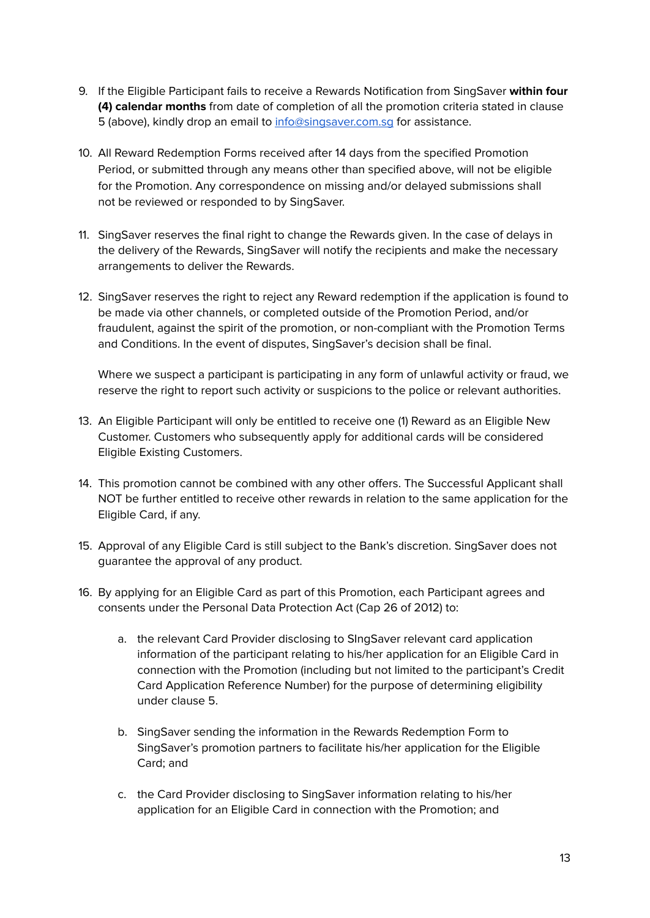- 9. If the Eligible Participant fails to receive a Rewards Notification from SingSaver **within four (4) calendar months** from date of completion of all the promotion criteria stated in clause 5 (above), kindly drop an email to info@singsaver.com.sq for assistance.
- 10. All Reward Redemption Forms received after 14 days from the specified Promotion Period, or submitted through any means other than specified above, will not be eligible for the Promotion. Any correspondence on missing and/or delayed submissions shall not be reviewed or responded to by SingSaver.
- 11. SingSaver reserves the final right to change the Rewards given. In the case of delays in the delivery of the Rewards, SingSaver will notify the recipients and make the necessary arrangements to deliver the Rewards.
- 12. SingSaver reserves the right to reject any Reward redemption if the application is found to be made via other channels, or completed outside of the Promotion Period, and/or fraudulent, against the spirit of the promotion, or non-compliant with the Promotion Terms and Conditions. In the event of disputes, SingSaver's decision shall be final.

Where we suspect a participant is participating in any form of unlawful activity or fraud, we reserve the right to report such activity or suspicions to the police or relevant authorities.

- 13. An Eligible Participant will only be entitled to receive one (1) Reward as an Eligible New Customer. Customers who subsequently apply for additional cards will be considered Eligible Existing Customers.
- 14. This promotion cannot be combined with any other offers. The Successful Applicant shall NOT be further entitled to receive other rewards in relation to the same application for the Eligible Card, if any.
- 15. Approval of any Eligible Card is still subject to the Bank's discretion. SingSaver does not guarantee the approval of any product.
- 16. By applying for an Eligible Card as part of this Promotion, each Participant agrees and consents under the Personal Data Protection Act (Cap 26 of 2012) to:
	- a. the relevant Card Provider disclosing to SIngSaver relevant card application information of the participant relating to his/her application for an Eligible Card in connection with the Promotion (including but not limited to the participant's Credit Card Application Reference Number) for the purpose of determining eligibility under clause 5.
	- b. SingSaver sending the information in the Rewards Redemption Form to SingSaver's promotion partners to facilitate his/her application for the Eligible Card; and
	- c. the Card Provider disclosing to SingSaver information relating to his/her application for an Eligible Card in connection with the Promotion; and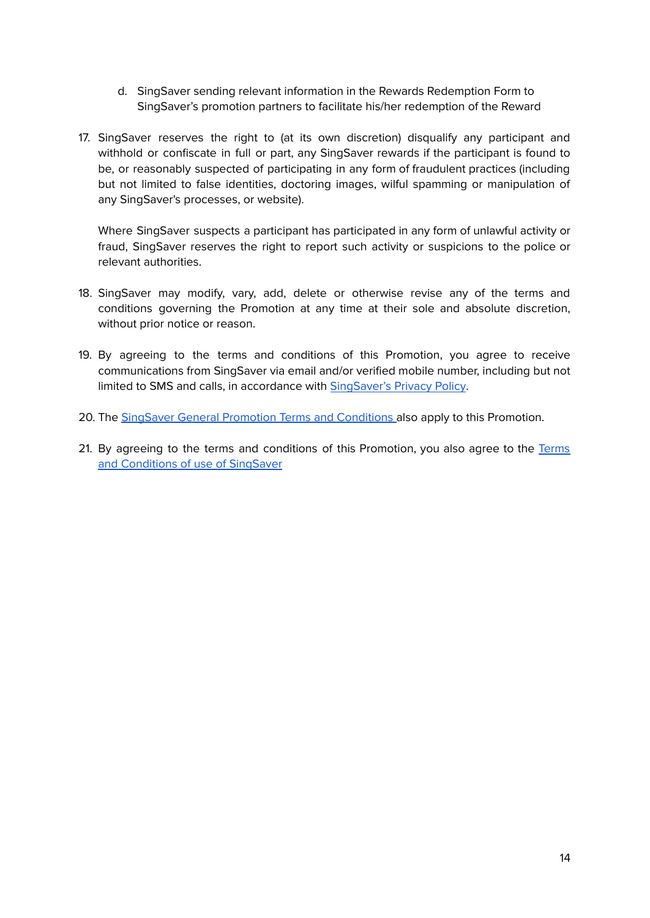- d. SingSaver sending relevant information in the Rewards Redemption Form to SingSaver's promotion partners to facilitate his/her redemption of the Reward
- 17. SingSaver reserves the right to (at its own discretion) disqualify any participant and withhold or confiscate in full or part, any SingSaver rewards if the participant is found to be, or reasonably suspected of participating in any form of fraudulent practices (including but not limited to false identities, doctoring images, wilful spamming or manipulation of any SingSaver's processes, or website).

Where SingSaver suspects a participant has participated in any form of unlawful activity or fraud, SingSaver reserves the right to report such activity or suspicions to the police or relevant authorities.

- 18. SingSaver may modify, vary, add, delete or otherwise revise any of the terms and conditions governing the Promotion at any time at their sole and absolute discretion, without prior notice or reason.
- 19. By agreeing to the terms and conditions of this Promotion, you agree to receive communications from SingSaver via email and/or verified mobile number, including but not limited to SMS and calls, in accordance with [SingSaver's](https://www.singsaver.com.sg/privacy-policy) Privacy Policy.
- 20. The SingSaver General Promotion Terms and [Conditions](https://docs.google.com/document/d/1pyYnDv3nF2llfvdcQW6YjnVueh32xXl1f4gjT_A7vHg/edit#heading=h.h5j01ssvgvg) also apply to this Promotion.
- 21. By agreeing to the terms and conditions of this Promotion, you also agree to the [Terms](https://www.singsaver.com.sg/terms) and [Conditions](https://www.singsaver.com.sg/terms) of use of SingSaver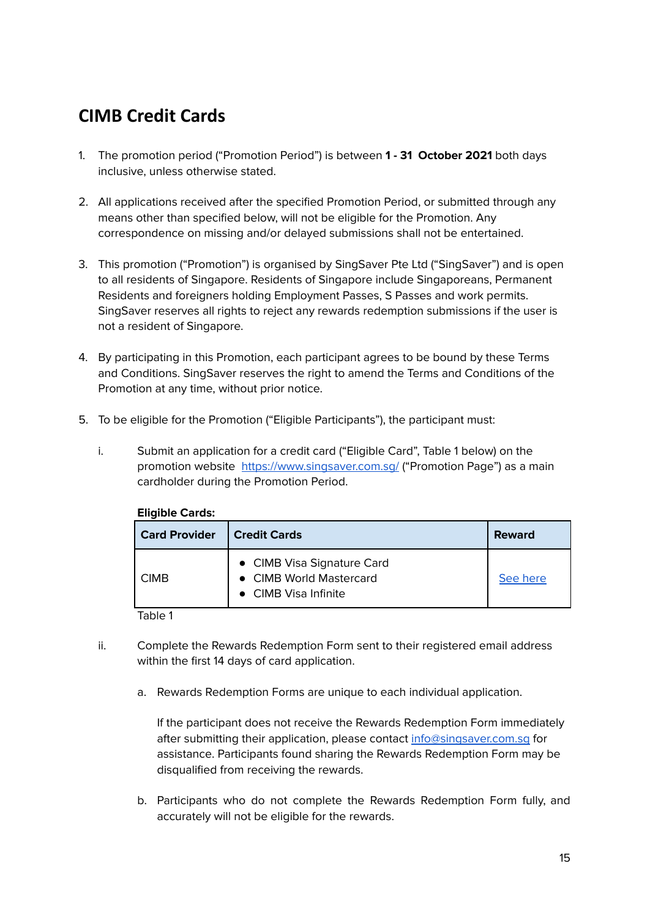#### <span id="page-15-0"></span>**CIMB Credit Cards**

- 1. The promotion period ("Promotion Period") is between **1 - 31 October 2021** both days inclusive, unless otherwise stated.
- 2. All applications received after the specified Promotion Period, or submitted through any means other than specified below, will not be eligible for the Promotion. Any correspondence on missing and/or delayed submissions shall not be entertained.
- 3. This promotion ("Promotion") is organised by SingSaver Pte Ltd ("SingSaver") and is open to all residents of Singapore. Residents of Singapore include Singaporeans, Permanent Residents and foreigners holding Employment Passes, S Passes and work permits. SingSaver reserves all rights to reject any rewards redemption submissions if the user is not a resident of Singapore.
- 4. By participating in this Promotion, each participant agrees to be bound by these Terms and Conditions. SingSaver reserves the right to amend the Terms and Conditions of the Promotion at any time, without prior notice.
- 5. To be eligible for the Promotion ("Eligible Participants"), the participant must:
	- i. Submit an application for a credit card ("Eligible Card", Table 1 below) on the promotion website <https://www.singsaver.com.sg/> ("Promotion Page") as a main cardholder during the Promotion Period.

| <b>Card Provider</b> | <b>Credit Cards</b>                                                           | <b>Reward</b> |
|----------------------|-------------------------------------------------------------------------------|---------------|
| <b>CIMB</b>          | • CIMB Visa Signature Card<br>• CIMB World Mastercard<br>• CIMB Visa Infinite | See here      |

#### **Eligible Cards:**

Table 1

- ii. Complete the Rewards Redemption Form sent to their registered email address within the first 14 days of card application.
	- a. Rewards Redemption Forms are unique to each individual application.

If the participant does not receive the Rewards Redemption Form immediately after submitting their application, please contact [info@singsaver.com.sg](mailto:info@singsaver.com.sg) for assistance. Participants found sharing the Rewards Redemption Form may be disqualified from receiving the rewards.

b. Participants who do not complete the Rewards Redemption Form fully, and accurately will not be eligible for the rewards.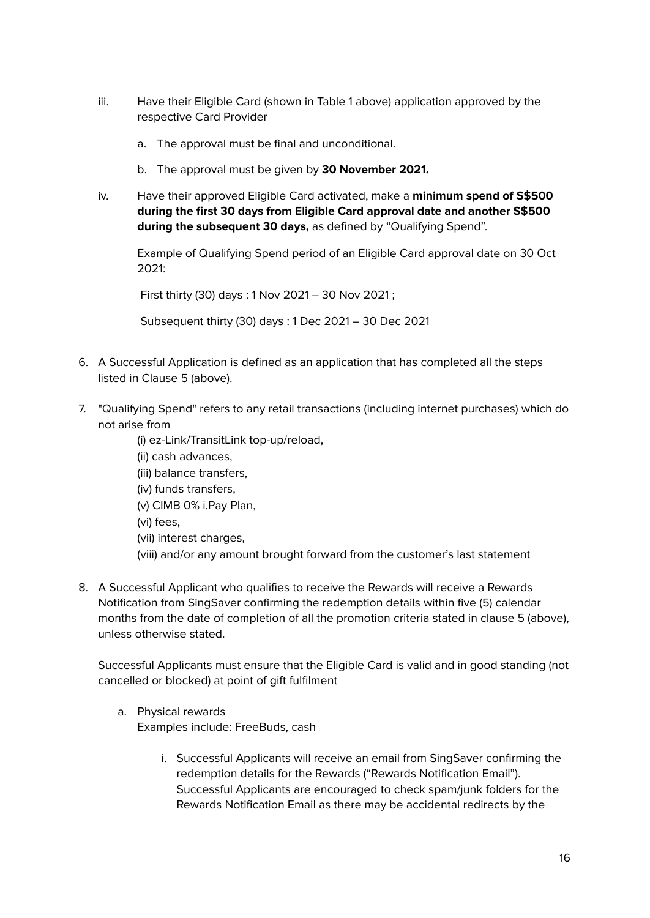- iii. Have their Eligible Card (shown in Table 1 above) application approved by the respective Card Provider
	- a. The approval must be final and unconditional.
	- b. The approval must be given by **30 November 2021.**
- iv. Have their approved Eligible Card activated, make a **minimum spend of S\$500 during the first 30 days from Eligible Card approval date and another S\$500 during the subsequent 30 days,** as defined by "Qualifying Spend".

Example of Qualifying Spend period of an Eligible Card approval date on 30 Oct 2021:

First thirty (30) days : 1 Nov 2021 – 30 Nov 2021 ;

Subsequent thirty (30) days : 1 Dec 2021 – 30 Dec 2021

- 6. A Successful Application is defined as an application that has completed all the steps listed in Clause 5 (above).
- 7. "Qualifying Spend" refers to any retail transactions (including internet purchases) which do not arise from
	- (i) ez-Link/TransitLink top-up/reload,
	- (ii) cash advances,
	- (iii) balance transfers,
	- (iv) funds transfers,
	- (v) CIMB 0% i.Pay Plan,
	- (vi) fees,
	- (vii) interest charges,
	- (viii) and/or any amount brought forward from the customer's last statement
- 8. A Successful Applicant who qualifies to receive the Rewards will receive a Rewards Notification from SingSaver confirming the redemption details within five (5) calendar months from the date of completion of all the promotion criteria stated in clause 5 (above), unless otherwise stated.

Successful Applicants must ensure that the Eligible Card is valid and in good standing (not cancelled or blocked) at point of gift fulfilment

- a. Physical rewards Examples include: FreeBuds, cash
	- i. Successful Applicants will receive an email from SingSaver confirming the redemption details for the Rewards ("Rewards Notification Email"). Successful Applicants are encouraged to check spam/junk folders for the Rewards Notification Email as there may be accidental redirects by the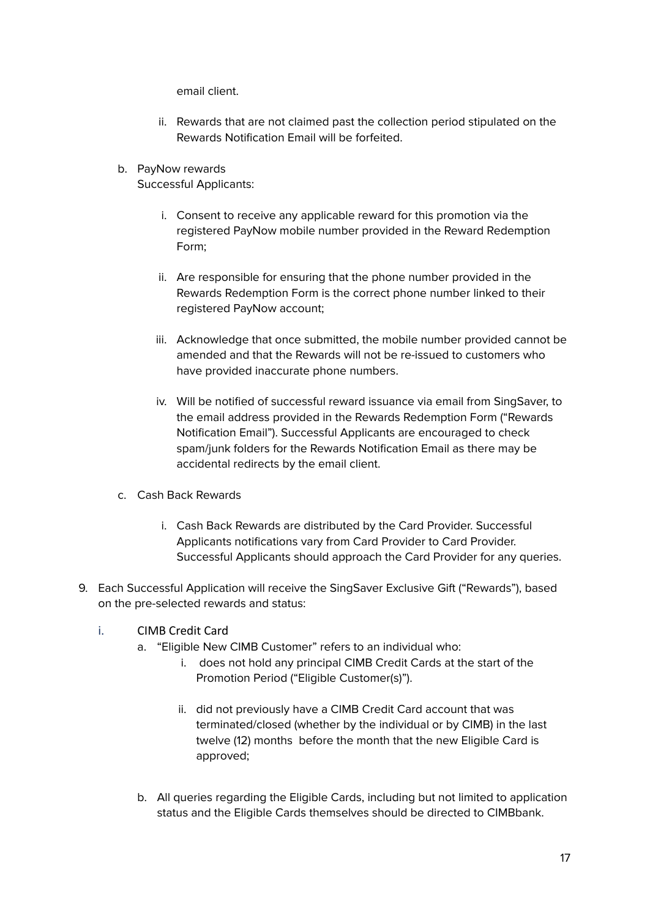email client.

- ii. Rewards that are not claimed past the collection period stipulated on the Rewards Notification Email will be forfeited.
- b. PayNow rewards Successful Applicants:
	- i. Consent to receive any applicable reward for this promotion via the registered PayNow mobile number provided in the Reward Redemption Form;
	- ii. Are responsible for ensuring that the phone number provided in the Rewards Redemption Form is the correct phone number linked to their registered PayNow account;
	- iii. Acknowledge that once submitted, the mobile number provided cannot be amended and that the Rewards will not be re-issued to customers who have provided inaccurate phone numbers.
	- iv. Will be notified of successful reward issuance via email from SingSaver, to the email address provided in the Rewards Redemption Form ("Rewards Notification Email"). Successful Applicants are encouraged to check spam/junk folders for the Rewards Notification Email as there may be accidental redirects by the email client.
- c. Cash Back Rewards
	- i. Cash Back Rewards are distributed by the Card Provider. Successful Applicants notifications vary from Card Provider to Card Provider. Successful Applicants should approach the Card Provider for any queries.
- 9. Each Successful Application will receive the SingSaver Exclusive Gift ("Rewards"), based on the pre-selected rewards and status:
	- i. CIMB Credit Card
		- a. "Eligible New CIMB Customer" refers to an individual who:
			- i. does not hold any principal CIMB Credit Cards at the start of the Promotion Period ("Eligible Customer(s)").
			- ii. did not previously have a CIMB Credit Card account that was terminated/closed (whether by the individual or by CIMB) in the last twelve (12) months before the month that the new Eligible Card is approved;
		- b. All queries regarding the Eligible Cards, including but not limited to application status and the Eligible Cards themselves should be directed to CIMBbank.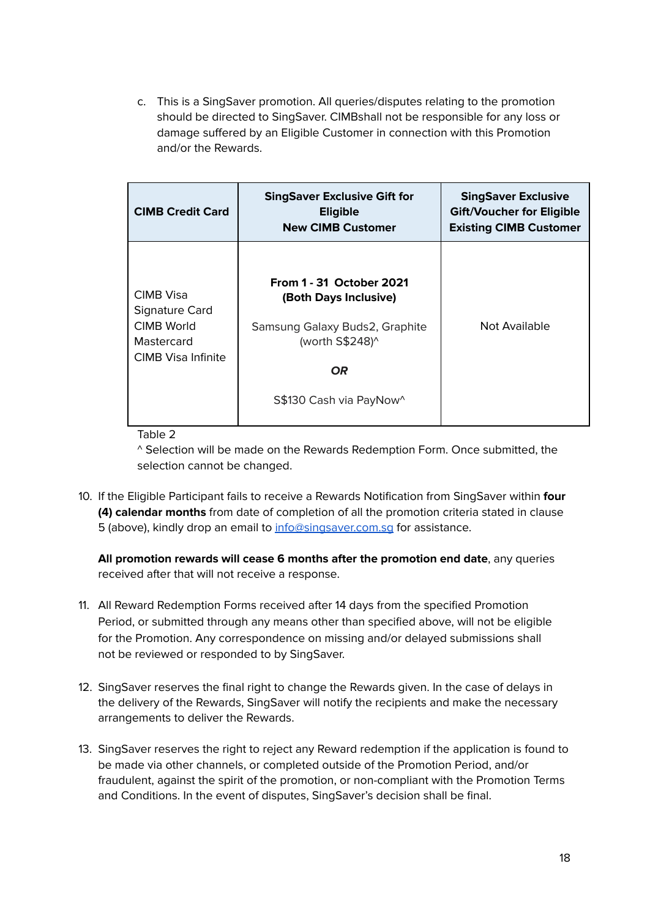c. This is a SingSaver promotion. All queries/disputes relating to the promotion should be directed to SingSaver. CIMBshall not be responsible for any loss or damage suffered by an Eligible Customer in connection with this Promotion and/or the Rewards.

<span id="page-18-0"></span>

| <b>CIMB Credit Card</b>                                                              | <b>SingSaver Exclusive Gift for</b><br><b>Eligible</b><br><b>New CIMB Customer</b>                                                              | <b>SingSaver Exclusive</b><br><b>Gift/Voucher for Eligible</b><br><b>Existing CIMB Customer</b> |
|--------------------------------------------------------------------------------------|-------------------------------------------------------------------------------------------------------------------------------------------------|-------------------------------------------------------------------------------------------------|
| CIMB Visa<br>Signature Card<br>CIMB World<br>Mastercard<br><b>CIMB Visa Infinite</b> | <b>From 1 - 31 October 2021</b><br>(Both Days Inclusive)<br>Samsung Galaxy Buds2, Graphite<br>(worth S\$248)^<br>OR.<br>S\$130 Cash via PayNow^ | Not Available                                                                                   |

Table 2

^ Selection will be made on the Rewards Redemption Form. Once submitted, the selection cannot be changed.

10. If the Eligible Participant fails to receive a Rewards Notification from SingSaver within **four (4) calendar months** from date of completion of all the promotion criteria stated in clause 5 (above), kindly drop an email to [info@singsaver.com.sg](mailto:info@singsaver.com.sg) for assistance.

**All promotion rewards will cease 6 months after the promotion end date**, any queries received after that will not receive a response.

- 11. All Reward Redemption Forms received after 14 days from the specified Promotion Period, or submitted through any means other than specified above, will not be eligible for the Promotion. Any correspondence on missing and/or delayed submissions shall not be reviewed or responded to by SingSaver.
- 12. SingSaver reserves the final right to change the Rewards given. In the case of delays in the delivery of the Rewards, SingSaver will notify the recipients and make the necessary arrangements to deliver the Rewards.
- 13. SingSaver reserves the right to reject any Reward redemption if the application is found to be made via other channels, or completed outside of the Promotion Period, and/or fraudulent, against the spirit of the promotion, or non-compliant with the Promotion Terms and Conditions. In the event of disputes, SingSaver's decision shall be final.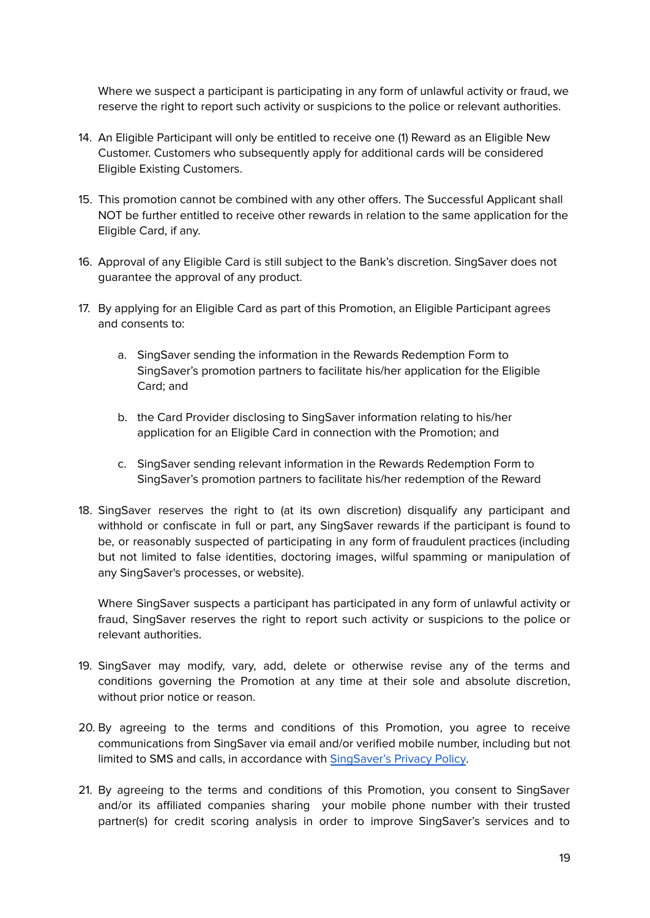Where we suspect a participant is participating in any form of unlawful activity or fraud, we reserve the right to report such activity or suspicions to the police or relevant authorities.

- 14. An Eligible Participant will only be entitled to receive one (1) Reward as an Eligible New Customer. Customers who subsequently apply for additional cards will be considered Eligible Existing Customers.
- 15. This promotion cannot be combined with any other offers. The Successful Applicant shall NOT be further entitled to receive other rewards in relation to the same application for the Eligible Card, if any.
- 16. Approval of any Eligible Card is still subject to the Bank's discretion. SingSaver does not guarantee the approval of any product.
- 17. By applying for an Eligible Card as part of this Promotion, an Eligible Participant agrees and consents to:
	- a. SingSaver sending the information in the Rewards Redemption Form to SingSaver's promotion partners to facilitate his/her application for the Eligible Card; and
	- b. the Card Provider disclosing to SingSaver information relating to his/her application for an Eligible Card in connection with the Promotion; and
	- c. SingSaver sending relevant information in the Rewards Redemption Form to SingSaver's promotion partners to facilitate his/her redemption of the Reward
- 18. SingSaver reserves the right to (at its own discretion) disqualify any participant and withhold or confiscate in full or part, any SingSaver rewards if the participant is found to be, or reasonably suspected of participating in any form of fraudulent practices (including but not limited to false identities, doctoring images, wilful spamming or manipulation of any SingSaver's processes, or website).

Where SingSaver suspects a participant has participated in any form of unlawful activity or fraud, SingSaver reserves the right to report such activity or suspicions to the police or relevant authorities.

- 19. SingSaver may modify, vary, add, delete or otherwise revise any of the terms and conditions governing the Promotion at any time at their sole and absolute discretion, without prior notice or reason.
- 20. By agreeing to the terms and conditions of this Promotion, you agree to receive communications from SingSaver via email and/or verified mobile number, including but not limited to SMS and calls, in accordance with [SingSaver's](https://www.singsaver.com.sg/privacy-policy) Privacy Policy.
- 21. By agreeing to the terms and conditions of this Promotion, you consent to SingSaver and/or its affiliated companies sharing your mobile phone number with their trusted partner(s) for credit scoring analysis in order to improve SingSaver's services and to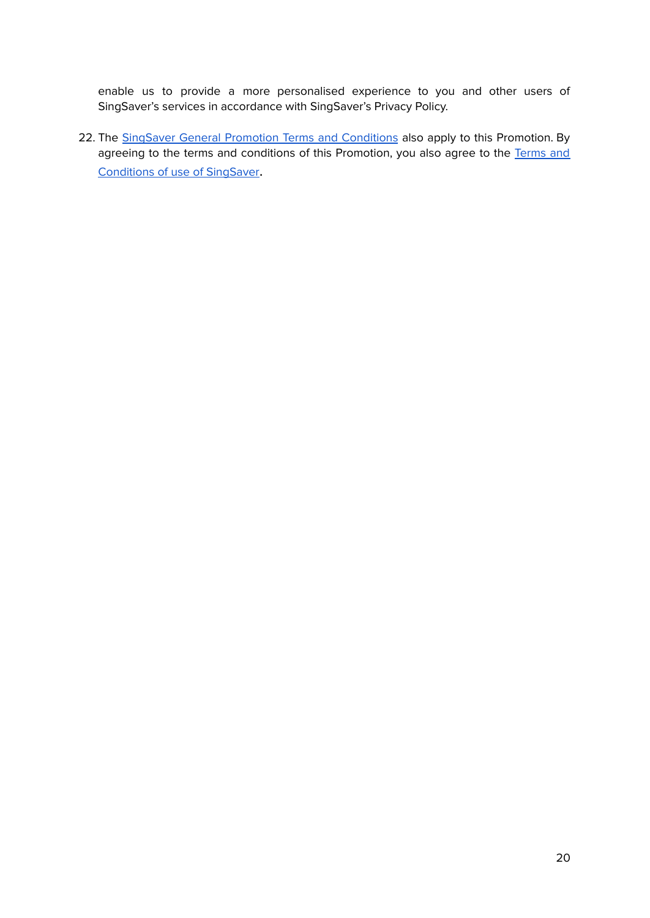enable us to provide a more personalised experience to you and other users of SingSaver's services in accordance with SingSaver's Privacy Policy.

22. The SingSaver General Promotion Terms and [Conditions](https://docs.google.com/document/d/1io2DCpDvzu3M1NLd32CAb8Aq92up1DyXxKCrV2uvR84/edit#heading=h.w9jncad7wqks) also apply to this Promotion. By agreeing to the terms and conditions of this Promotion, you also agree to the [Terms](https://www.singsaver.com.sg/terms) and [Conditions](https://www.singsaver.com.sg/terms) of use of SingSaver.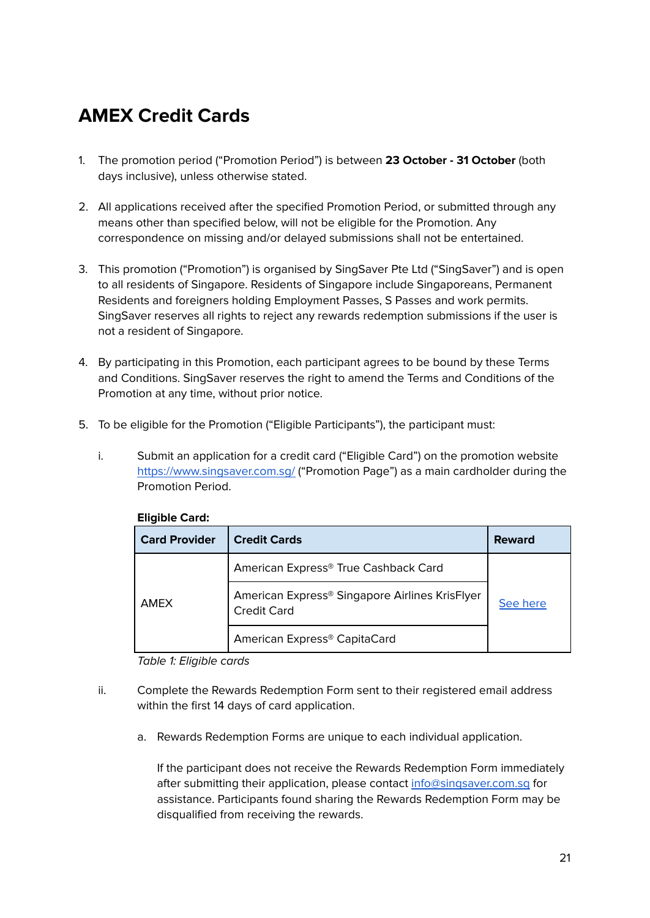### <span id="page-21-0"></span>**AMEX Credit Cards**

- 1. The promotion period ("Promotion Period") is between **23 October - 31 October** (both days inclusive), unless otherwise stated.
- 2. All applications received after the specified Promotion Period, or submitted through any means other than specified below, will not be eligible for the Promotion. Any correspondence on missing and/or delayed submissions shall not be entertained.
- 3. This promotion ("Promotion") is organised by SingSaver Pte Ltd ("SingSaver") and is open to all residents of Singapore. Residents of Singapore include Singaporeans, Permanent Residents and foreigners holding Employment Passes, S Passes and work permits. SingSaver reserves all rights to reject any rewards redemption submissions if the user is not a resident of Singapore.
- 4. By participating in this Promotion, each participant agrees to be bound by these Terms and Conditions. SingSaver reserves the right to amend the Terms and Conditions of the Promotion at any time, without prior notice.
- 5. To be eligible for the Promotion ("Eligible Participants"), the participant must:
	- i. Submit an application for a credit card ("Eligible Card") on the promotion website <https://www.singsaver.com.sg/> ("Promotion Page") as a main cardholder during the Promotion Period.

| <b>Card Provider</b><br><b>Credit Cards</b> |                                                                                  | <b>Reward</b> |
|---------------------------------------------|----------------------------------------------------------------------------------|---------------|
|                                             | American Express® True Cashback Card                                             |               |
| <b>AMEX</b>                                 | American Express <sup>®</sup> Singapore Airlines KrisFlyer<br><b>Credit Card</b> | See here      |
|                                             | American Express® CapitaCard                                                     |               |

**Eligible Card:**

Table 1: Eligible cards

- ii. Complete the Rewards Redemption Form sent to their registered email address within the first 14 days of card application.
	- a. Rewards Redemption Forms are unique to each individual application.

If the participant does not receive the Rewards Redemption Form immediately after submitting their application, please contact [info@singsaver.com.sg](mailto:info@singsaver.com.sg) for assistance. Participants found sharing the Rewards Redemption Form may be disqualified from receiving the rewards.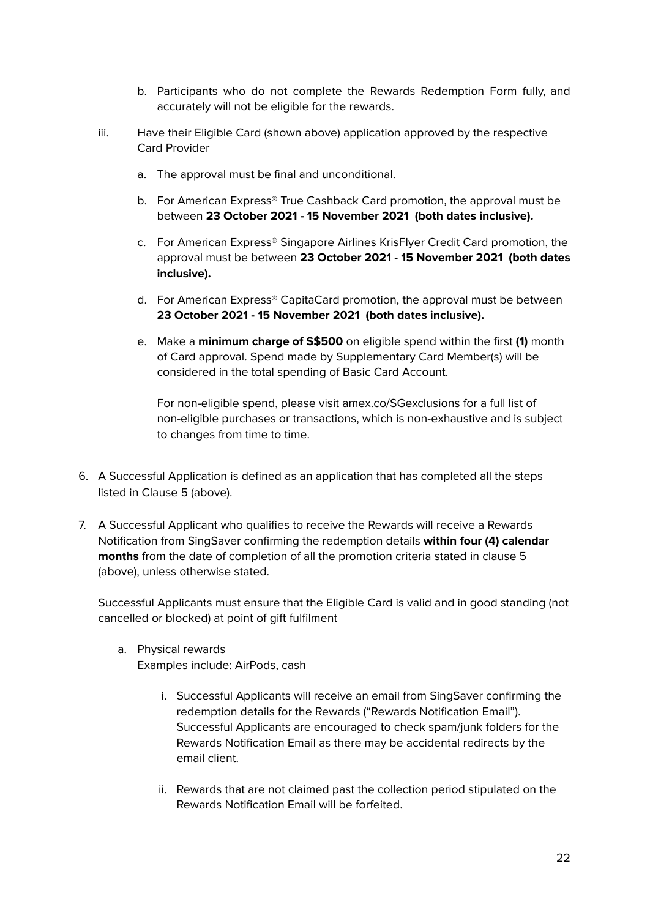- b. Participants who do not complete the Rewards Redemption Form fully, and accurately will not be eligible for the rewards.
- iii. Have their Eligible Card (shown above) application approved by the respective Card Provider
	- a. The approval must be final and unconditional.
	- b. For American Express® True Cashback Card promotion, the approval must be between **23 October 2021 - 15 November 2021 (both dates inclusive).**
	- c. For American Express® Singapore Airlines KrisFlyer Credit Card promotion, the approval must be between **23 October 2021 - 15 November 2021 (both dates inclusive).**
	- d. For American Express® CapitaCard promotion, the approval must be between **23 October 2021 - 15 November 2021 (both dates inclusive).**
	- e. Make a **minimum charge of S\$500** on eligible spend within the first **(1)** month of Card approval. Spend made by Supplementary Card Member(s) will be considered in the total spending of Basic Card Account.

For non-eligible spend, please visit amex.co/SGexclusions for a full list of non-eligible purchases or transactions, which is non-exhaustive and is subject to changes from time to time.

- 6. A Successful Application is defined as an application that has completed all the steps listed in Clause 5 (above).
- 7. A Successful Applicant who qualifies to receive the Rewards will receive a Rewards Notification from SingSaver confirming the redemption details **within four (4) calendar months** from the date of completion of all the promotion criteria stated in clause 5 (above), unless otherwise stated.

Successful Applicants must ensure that the Eligible Card is valid and in good standing (not cancelled or blocked) at point of gift fulfilment

- a. Physical rewards Examples include: AirPods, cash
	- i. Successful Applicants will receive an email from SingSaver confirming the redemption details for the Rewards ("Rewards Notification Email"). Successful Applicants are encouraged to check spam/junk folders for the Rewards Notification Email as there may be accidental redirects by the email client.
	- ii. Rewards that are not claimed past the collection period stipulated on the Rewards Notification Email will be forfeited.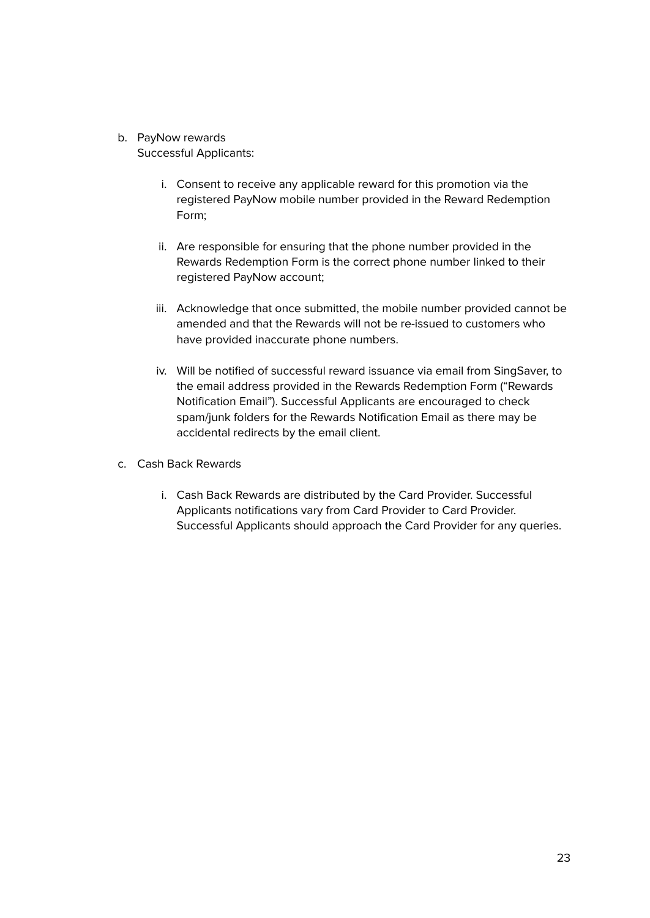- b. PayNow rewards Successful Applicants:
	- i. Consent to receive any applicable reward for this promotion via the registered PayNow mobile number provided in the Reward Redemption Form;
	- ii. Are responsible for ensuring that the phone number provided in the Rewards Redemption Form is the correct phone number linked to their registered PayNow account;
	- iii. Acknowledge that once submitted, the mobile number provided cannot be amended and that the Rewards will not be re-issued to customers who have provided inaccurate phone numbers.
	- iv. Will be notified of successful reward issuance via email from SingSaver, to the email address provided in the Rewards Redemption Form ("Rewards Notification Email"). Successful Applicants are encouraged to check spam/junk folders for the Rewards Notification Email as there may be accidental redirects by the email client.
- c. Cash Back Rewards
	- i. Cash Back Rewards are distributed by the Card Provider. Successful Applicants notifications vary from Card Provider to Card Provider. Successful Applicants should approach the Card Provider for any queries.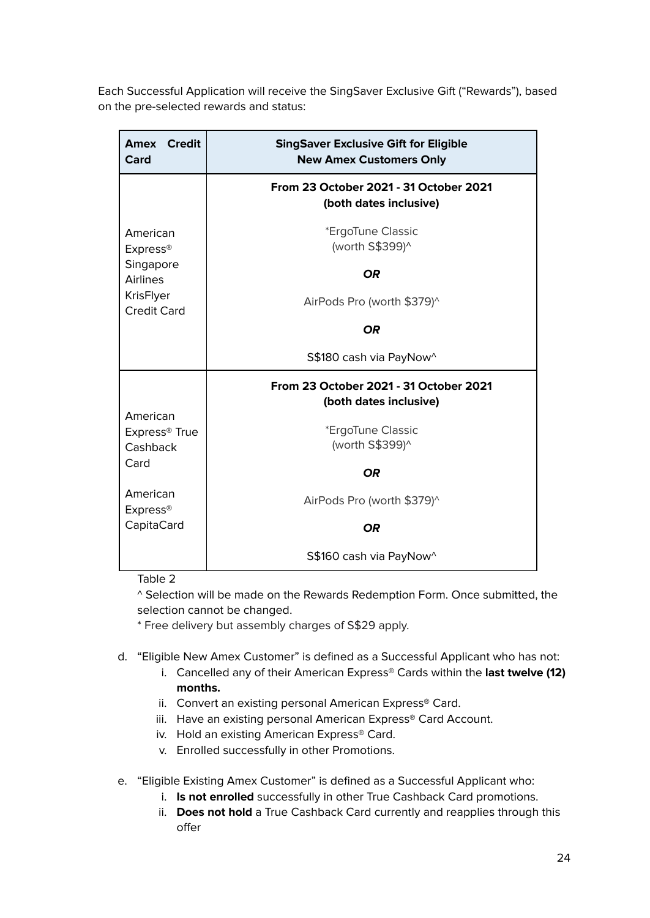<span id="page-24-0"></span>Each Successful Application will receive the SingSaver Exclusive Gift ("Rewards"), based on the pre-selected rewards and status:

| <b>Amex</b> Credit<br>Card                        | <b>SingSaver Exclusive Gift for Eligible</b><br><b>New Amex Customers Only</b> |  |
|---------------------------------------------------|--------------------------------------------------------------------------------|--|
|                                                   | From 23 October 2021 - 31 October 2021<br>(both dates inclusive)               |  |
| American<br><b>Express®</b>                       | *ErgoTune Classic<br>(worth S\$399)^                                           |  |
| Singapore<br><b>Airlines</b>                      | <b>OR</b>                                                                      |  |
| KrisFlyer<br><b>Credit Card</b>                   | AirPods Pro (worth \$379)^                                                     |  |
|                                                   | <b>OR</b>                                                                      |  |
|                                                   | S\$180 cash via PayNow^                                                        |  |
|                                                   | From 23 October 2021 - 31 October 2021<br>(both dates inclusive)               |  |
| American<br>Express <sup>®</sup> True<br>Cashback | *ErgoTune Classic<br>(worth S\$399)^                                           |  |
| Card                                              | <b>OR</b>                                                                      |  |
| American<br><b>Express®</b><br>CapitaCard         | AirPods Pro (worth \$379)^                                                     |  |
|                                                   | <b>OR</b>                                                                      |  |
|                                                   | S\$160 cash via PayNow^                                                        |  |

Table 2

^ Selection will be made on the Rewards Redemption Form. Once submitted, the selection cannot be changed.

\* Free delivery but assembly charges of S\$29 apply.

- d. "Eligible New Amex Customer" is defined as a Successful Applicant who has not:
	- i. Cancelled any of their American Express® Cards within the **last twelve (12) months.**
	- ii. Convert an existing personal American Express® Card.
	- iii. Have an existing personal American Express® Card Account.
	- iv. Hold an existing American Express® Card.
	- v. Enrolled successfully in other Promotions.
- e. "Eligible Existing Amex Customer" is defined as a Successful Applicant who:
	- i. **Is not enrolled** successfully in other True Cashback Card promotions.
	- ii. **Does not hold** a True Cashback Card currently and reapplies through this offer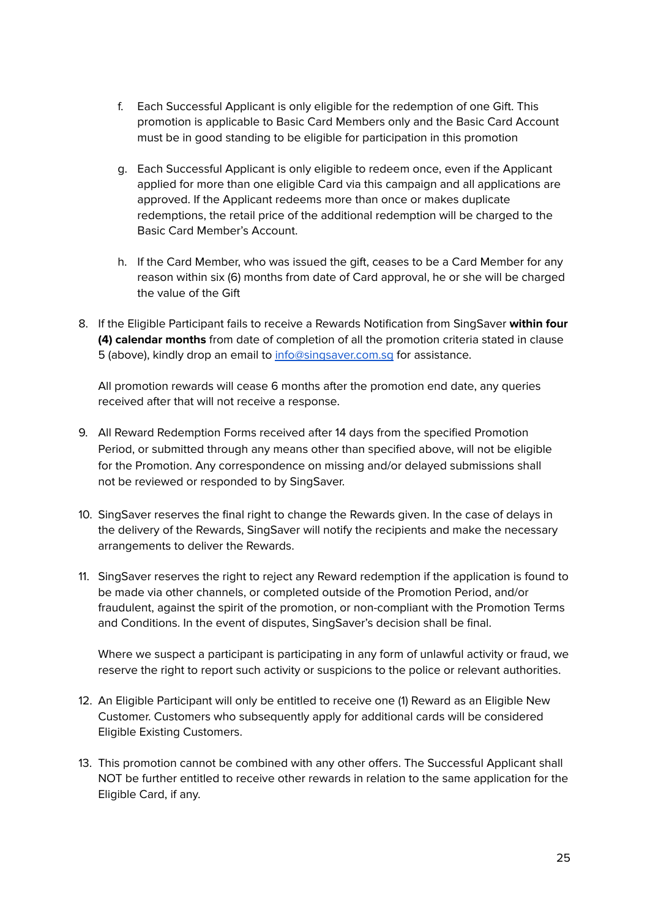- f. Each Successful Applicant is only eligible for the redemption of one Gift. This promotion is applicable to Basic Card Members only and the Basic Card Account must be in good standing to be eligible for participation in this promotion
- g. Each Successful Applicant is only eligible to redeem once, even if the Applicant applied for more than one eligible Card via this campaign and all applications are approved. If the Applicant redeems more than once or makes duplicate redemptions, the retail price of the additional redemption will be charged to the Basic Card Member's Account.
- h. If the Card Member, who was issued the gift, ceases to be a Card Member for any reason within six (6) months from date of Card approval, he or she will be charged the value of the Gift
- 8. If the Eligible Participant fails to receive a Rewards Notification from SingSaver **within four (4) calendar months** from date of completion of all the promotion criteria stated in clause 5 (above), kindly drop an email to [info@singsaver.com.sg](mailto:info@singsaver.com.sg) for assistance.

All promotion rewards will cease 6 months after the promotion end date, any queries received after that will not receive a response.

- 9. All Reward Redemption Forms received after 14 days from the specified Promotion Period, or submitted through any means other than specified above, will not be eligible for the Promotion. Any correspondence on missing and/or delayed submissions shall not be reviewed or responded to by SingSaver.
- 10. SingSaver reserves the final right to change the Rewards given. In the case of delays in the delivery of the Rewards, SingSaver will notify the recipients and make the necessary arrangements to deliver the Rewards.
- 11. SingSaver reserves the right to reject any Reward redemption if the application is found to be made via other channels, or completed outside of the Promotion Period, and/or fraudulent, against the spirit of the promotion, or non-compliant with the Promotion Terms and Conditions. In the event of disputes, SingSaver's decision shall be final.

Where we suspect a participant is participating in any form of unlawful activity or fraud, we reserve the right to report such activity or suspicions to the police or relevant authorities.

- 12. An Eligible Participant will only be entitled to receive one (1) Reward as an Eligible New Customer. Customers who subsequently apply for additional cards will be considered Eligible Existing Customers.
- 13. This promotion cannot be combined with any other offers. The Successful Applicant shall NOT be further entitled to receive other rewards in relation to the same application for the Eligible Card, if any.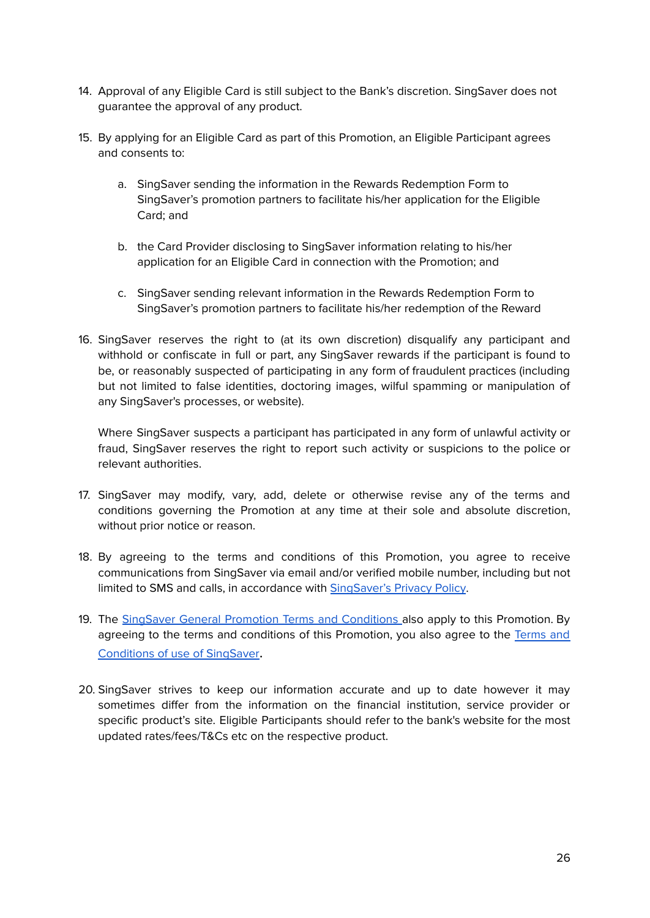- 14. Approval of any Eligible Card is still subject to the Bank's discretion. SingSaver does not guarantee the approval of any product.
- 15. By applying for an Eligible Card as part of this Promotion, an Eligible Participant agrees and consents to:
	- a. SingSaver sending the information in the Rewards Redemption Form to SingSaver's promotion partners to facilitate his/her application for the Eligible Card; and
	- b. the Card Provider disclosing to SingSaver information relating to his/her application for an Eligible Card in connection with the Promotion; and
	- c. SingSaver sending relevant information in the Rewards Redemption Form to SingSaver's promotion partners to facilitate his/her redemption of the Reward
- 16. SingSaver reserves the right to (at its own discretion) disqualify any participant and withhold or confiscate in full or part, any SingSaver rewards if the participant is found to be, or reasonably suspected of participating in any form of fraudulent practices (including but not limited to false identities, doctoring images, wilful spamming or manipulation of any SingSaver's processes, or website).

Where SingSaver suspects a participant has participated in any form of unlawful activity or fraud, SingSaver reserves the right to report such activity or suspicions to the police or relevant authorities.

- 17. SingSaver may modify, vary, add, delete or otherwise revise any of the terms and conditions governing the Promotion at any time at their sole and absolute discretion, without prior notice or reason.
- 18. By agreeing to the terms and conditions of this Promotion, you agree to receive communications from SingSaver via email and/or verified mobile number, including but not limited to SMS and calls, in accordance with [SingSaver's](https://www.singsaver.com.sg/privacy-policy) Privacy Policy.
- 19. The SingSaver General Promotion Terms and [Conditions](https://docs.google.com/document/d/1pyYnDv3nF2llfvdcQW6YjnVueh32xXl1f4gjT_A7vHg/edit#heading=h.h5j01ssvgvg) also apply to this Promotion. By agreeing to the terms and conditions of this Promotion, you also agree to the [Terms](https://www.singsaver.com.sg/terms) and [Conditions](https://www.singsaver.com.sg/terms) of use of SingSaver.
- 20. SingSaver strives to keep our information accurate and up to date however it may sometimes differ from the information on the financial institution, service provider or specific product's site. Eligible Participants should refer to the bank's website for the most updated rates/fees/T&Cs etc on the respective product.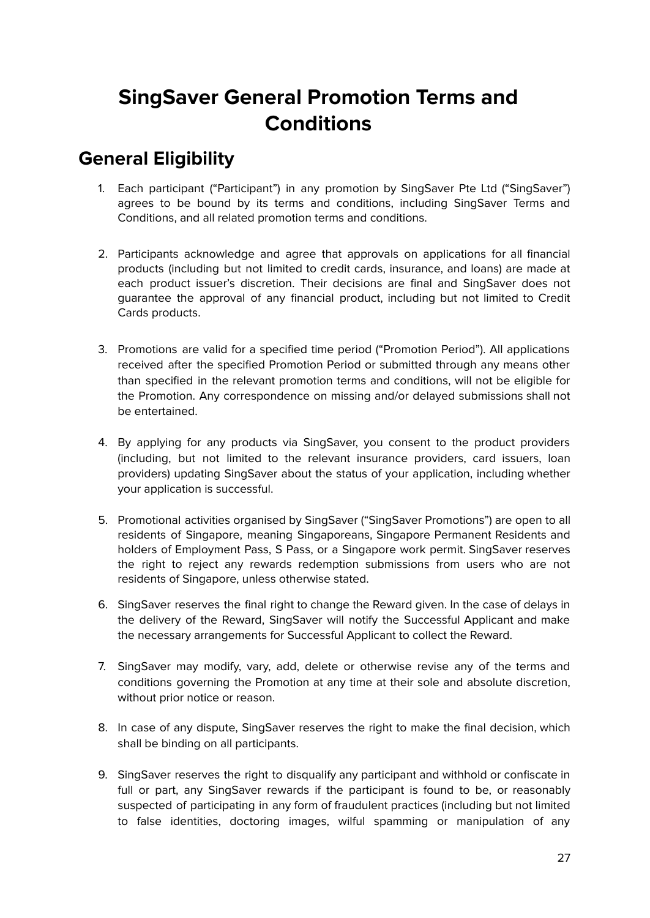## **SingSaver General Promotion Terms and Conditions**

#### <span id="page-27-1"></span><span id="page-27-0"></span>**General Eligibility**

- 1. Each participant ("Participant") in any promotion by SingSaver Pte Ltd ("SingSaver") agrees to be bound by its terms and conditions, including SingSaver Terms and Conditions, and all related promotion terms and conditions.
- 2. Participants acknowledge and agree that approvals on applications for all financial products (including but not limited to credit cards, insurance, and loans) are made at each product issuer's discretion. Their decisions are final and SingSaver does not guarantee the approval of any financial product, including but not limited to Credit Cards products.
- 3. Promotions are valid for a specified time period ("Promotion Period"). All applications received after the specified Promotion Period or submitted through any means other than specified in the relevant promotion terms and conditions, will not be eligible for the Promotion. Any correspondence on missing and/or delayed submissions shall not be entertained.
- 4. By applying for any products via SingSaver, you consent to the product providers (including, but not limited to the relevant insurance providers, card issuers, loan providers) updating SingSaver about the status of your application, including whether your application is successful.
- 5. Promotional activities organised by SingSaver ("SingSaver Promotions") are open to all residents of Singapore, meaning Singaporeans, Singapore Permanent Residents and holders of Employment Pass, S Pass, or a Singapore work permit. SingSaver reserves the right to reject any rewards redemption submissions from users who are not residents of Singapore, unless otherwise stated.
- 6. SingSaver reserves the final right to change the Reward given. In the case of delays in the delivery of the Reward, SingSaver will notify the Successful Applicant and make the necessary arrangements for Successful Applicant to collect the Reward.
- 7. SingSaver may modify, vary, add, delete or otherwise revise any of the terms and conditions governing the Promotion at any time at their sole and absolute discretion, without prior notice or reason.
- 8. In case of any dispute, SingSaver reserves the right to make the final decision, which shall be binding on all participants.
- 9. SingSaver reserves the right to disqualify any participant and withhold or confiscate in full or part, any SingSaver rewards if the participant is found to be, or reasonably suspected of participating in any form of fraudulent practices (including but not limited to false identities, doctoring images, wilful spamming or manipulation of any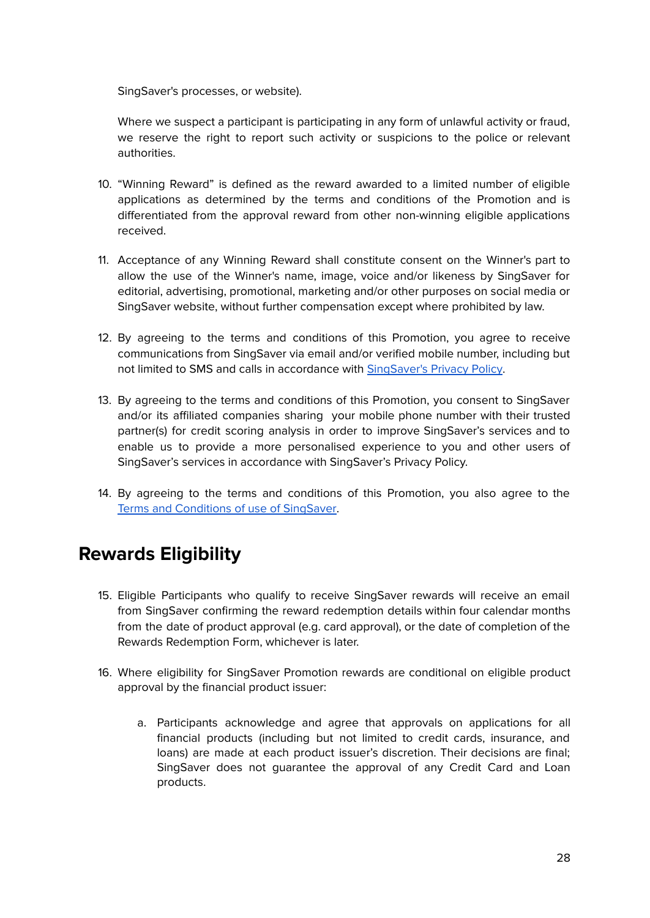SingSaver's processes, or website).

Where we suspect a participant is participating in any form of unlawful activity or fraud, we reserve the right to report such activity or suspicions to the police or relevant authorities.

- 10. "Winning Reward" is defined as the reward awarded to a limited number of eligible applications as determined by the terms and conditions of the Promotion and is differentiated from the approval reward from other non-winning eligible applications received.
- 11. Acceptance of any Winning Reward shall constitute consent on the Winner's part to allow the use of the Winner's name, image, voice and/or likeness by SingSaver for editorial, advertising, promotional, marketing and/or other purposes on social media or SingSaver website, without further compensation except where prohibited by law.
- 12. By agreeing to the terms and conditions of this Promotion, you agree to receive communications from SingSaver via email and/or verified mobile number, including but not limited to SMS and calls in accordance with [SingSaver's](https://www.singsaver.com.sg/privacy-policy) Privacy Policy.
- 13. By agreeing to the terms and conditions of this Promotion, you consent to SingSaver and/or its affiliated companies sharing your mobile phone number with their trusted partner(s) for credit scoring analysis in order to improve SingSaver's services and to enable us to provide a more personalised experience to you and other users of SingSaver's services in accordance with SingSaver's Privacy Policy.
- 14. By agreeing to the terms and conditions of this Promotion, you also agree to the Terms and [Conditions](https://www.singsaver.com.sg/terms) of use of SingSaver.

#### <span id="page-28-0"></span>**Rewards Eligibility**

- 15. Eligible Participants who qualify to receive SingSaver rewards will receive an email from SingSaver confirming the reward redemption details within four calendar months from the date of product approval (e.g. card approval), or the date of completion of the Rewards Redemption Form, whichever is later.
- 16. Where eligibility for SingSaver Promotion rewards are conditional on eligible product approval by the financial product issuer:
	- a. Participants acknowledge and agree that approvals on applications for all financial products (including but not limited to credit cards, insurance, and loans) are made at each product issuer's discretion. Their decisions are final; SingSaver does not guarantee the approval of any Credit Card and Loan products.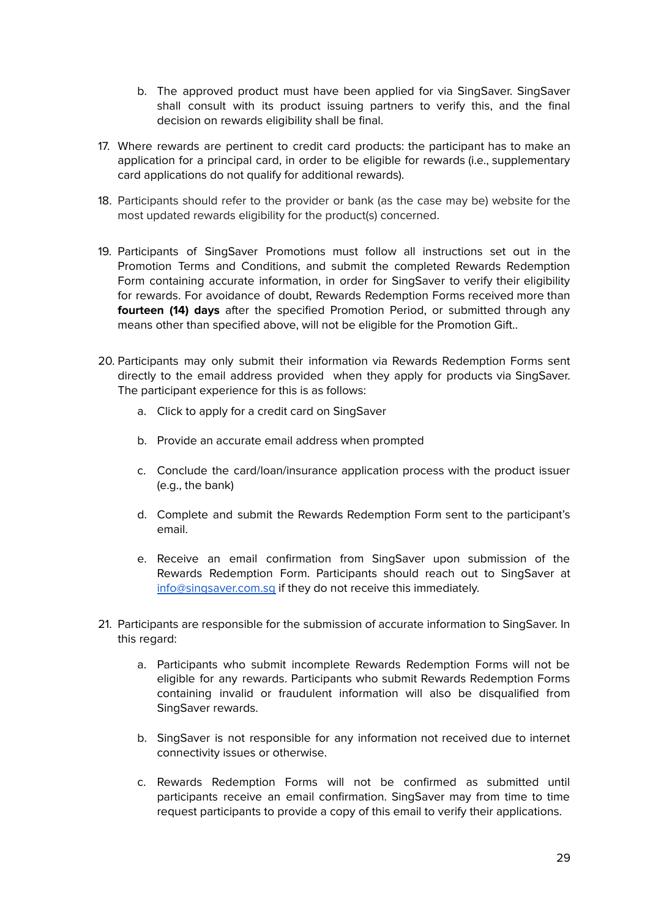- b. The approved product must have been applied for via SingSaver. SingSaver shall consult with its product issuing partners to verify this, and the final decision on rewards eligibility shall be final.
- 17. Where rewards are pertinent to credit card products: the participant has to make an application for a principal card, in order to be eligible for rewards (i.e., supplementary card applications do not qualify for additional rewards).
- 18. Participants should refer to the provider or bank (as the case may be) website for the most updated rewards eligibility for the product(s) concerned.
- 19. Participants of SingSaver Promotions must follow all instructions set out in the Promotion Terms and Conditions, and submit the completed Rewards Redemption Form containing accurate information, in order for SingSaver to verify their eligibility for rewards. For avoidance of doubt, Rewards Redemption Forms received more than **fourteen (14) days** after the specified Promotion Period, or submitted through any means other than specified above, will not be eligible for the Promotion Gift..
- 20. Participants may only submit their information via Rewards Redemption Forms sent directly to the email address provided when they apply for products via SingSaver. The participant experience for this is as follows:
	- a. Click to apply for a credit card on SingSaver
	- b. Provide an accurate email address when prompted
	- c. Conclude the card/loan/insurance application process with the product issuer (e.g., the bank)
	- d. Complete and submit the Rewards Redemption Form sent to the participant's email.
	- e. Receive an email confirmation from SingSaver upon submission of the Rewards Redemption Form. Participants should reach out to SingSaver at [info@singsaver.com.sg](mailto:info@singsaver.com.sg) if they do not receive this immediately.
- 21. Participants are responsible for the submission of accurate information to SingSaver. In this regard:
	- a. Participants who submit incomplete Rewards Redemption Forms will not be eligible for any rewards. Participants who submit Rewards Redemption Forms containing invalid or fraudulent information will also be disqualified from SingSaver rewards.
	- b. SingSaver is not responsible for any information not received due to internet connectivity issues or otherwise.
	- c. Rewards Redemption Forms will not be confirmed as submitted until participants receive an email confirmation. SingSaver may from time to time request participants to provide a copy of this email to verify their applications.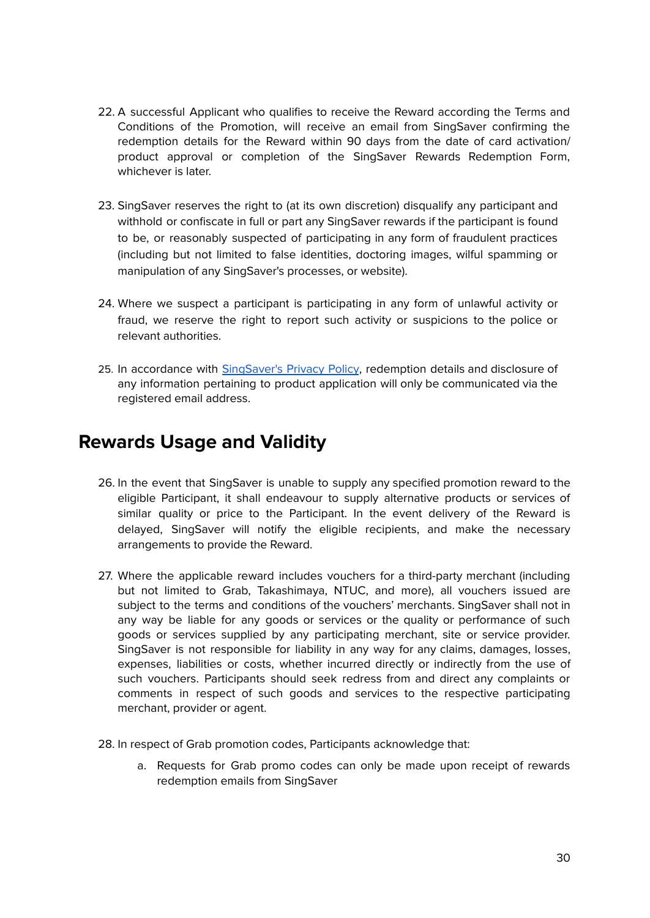- 22. A successful Applicant who qualifies to receive the Reward according the Terms and Conditions of the Promotion, will receive an email from SingSaver confirming the redemption details for the Reward within 90 days from the date of card activation/ product approval or completion of the SingSaver Rewards Redemption Form, whichever is later.
- 23. SingSaver reserves the right to (at its own discretion) disqualify any participant and withhold or confiscate in full or part any SingSaver rewards if the participant is found to be, or reasonably suspected of participating in any form of fraudulent practices (including but not limited to false identities, doctoring images, wilful spamming or manipulation of any SingSaver's processes, or website).
- 24. Where we suspect a participant is participating in any form of unlawful activity or fraud, we reserve the right to report such activity or suspicions to the police or relevant authorities.
- 25. In accordance with [SingSaver's](https://www.singsaver.com.sg/privacy-policy) Privacy Policy, redemption details and disclosure of any information pertaining to product application will only be communicated via the registered email address.

#### <span id="page-30-0"></span>**Rewards Usage and Validity**

- 26. In the event that SingSaver is unable to supply any specified promotion reward to the eligible Participant, it shall endeavour to supply alternative products or services of similar quality or price to the Participant. In the event delivery of the Reward is delayed, SingSaver will notify the eligible recipients, and make the necessary arrangements to provide the Reward.
- 27. Where the applicable reward includes vouchers for a third-party merchant (including but not limited to Grab, Takashimaya, NTUC, and more), all vouchers issued are subject to the terms and conditions of the vouchers' merchants. SingSaver shall not in any way be liable for any goods or services or the quality or performance of such goods or services supplied by any participating merchant, site or service provider. SingSaver is not responsible for liability in any way for any claims, damages, losses, expenses, liabilities or costs, whether incurred directly or indirectly from the use of such vouchers. Participants should seek redress from and direct any complaints or comments in respect of such goods and services to the respective participating merchant, provider or agent.
- 28. In respect of Grab promotion codes, Participants acknowledge that:
	- a. Requests for Grab promo codes can only be made upon receipt of rewards redemption emails from SingSaver